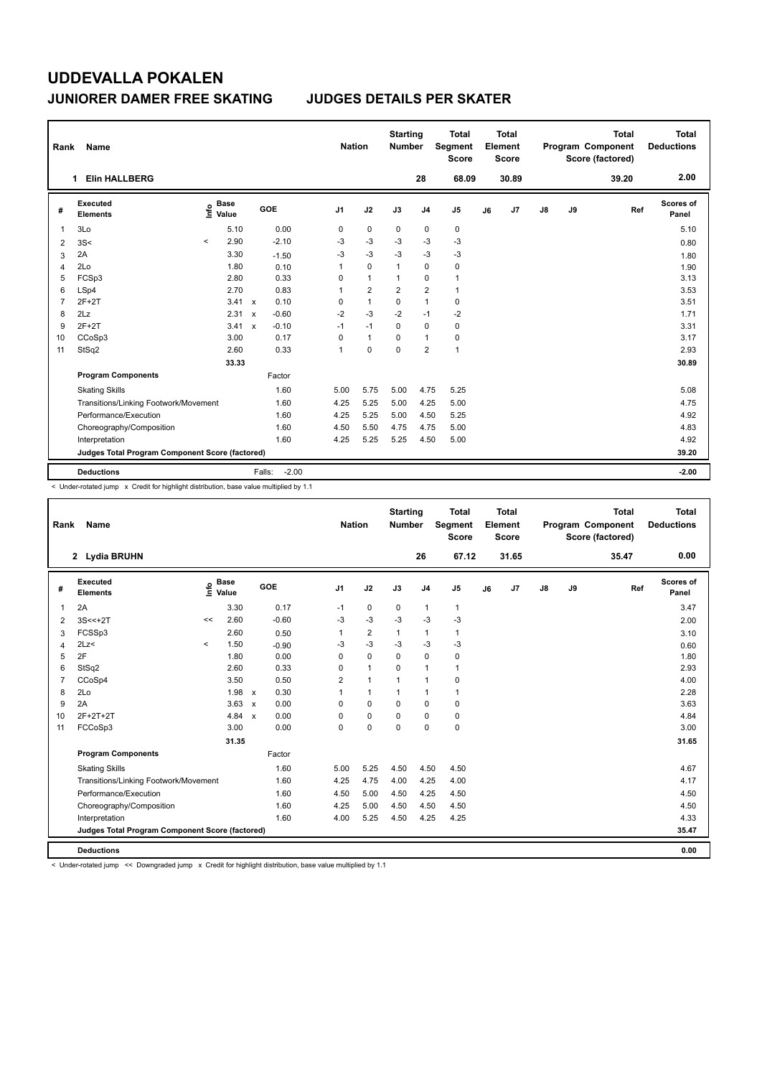| Rank           | Name                                            |         |                      |              |                   |                | <b>Nation</b>  | <b>Starting</b><br><b>Number</b> |                | <b>Total</b><br>Segment<br><b>Score</b> |    | Total<br>Element<br><b>Score</b> |               |    | <b>Total</b><br>Program Component<br>Score (factored) | Total<br><b>Deductions</b> |
|----------------|-------------------------------------------------|---------|----------------------|--------------|-------------------|----------------|----------------|----------------------------------|----------------|-----------------------------------------|----|----------------------------------|---------------|----|-------------------------------------------------------|----------------------------|
|                | <b>Elin HALLBERG</b><br>1                       |         |                      |              |                   |                |                |                                  | 28             | 68.09                                   |    | 30.89                            |               |    | 39.20                                                 | 2.00                       |
| #              | Executed<br><b>Elements</b>                     | ١nf٥    | <b>Base</b><br>Value |              | <b>GOE</b>        | J <sub>1</sub> | J2             | J3                               | J <sub>4</sub> | J <sub>5</sub>                          | J6 | J7                               | $\mathsf{J}8$ | J9 | Ref                                                   | Scores of<br>Panel         |
| 1              | 3Lo                                             |         | 5.10                 |              | 0.00              | 0              | 0              | 0                                | 0              | 0                                       |    |                                  |               |    |                                                       | 5.10                       |
| 2              | 3S<                                             | $\prec$ | 2.90                 |              | $-2.10$           | $-3$           | $-3$           | $-3$                             | $-3$           | $-3$                                    |    |                                  |               |    |                                                       | 0.80                       |
| 3              | 2A                                              |         | 3.30                 |              | $-1.50$           | $-3$           | $-3$           | $-3$                             | $-3$           | $-3$                                    |    |                                  |               |    |                                                       | 1.80                       |
| $\overline{4}$ | 2Lo                                             |         | 1.80                 |              | 0.10              | 1              | $\Omega$       | $\mathbf{1}$                     | $\mathbf 0$    | $\pmb{0}$                               |    |                                  |               |    |                                                       | 1.90                       |
| 5              | FCSp3                                           |         | 2.80                 |              | 0.33              | 0              | $\mathbf{1}$   | $\overline{1}$                   | 0              | $\mathbf{1}$                            |    |                                  |               |    |                                                       | 3.13                       |
| 6              | LSp4                                            |         | 2.70                 |              | 0.83              | $\mathbf{1}$   | $\overline{2}$ | $\overline{2}$                   | $\overline{2}$ | $\mathbf{1}$                            |    |                                  |               |    |                                                       | 3.53                       |
| $\overline{7}$ | $2F+2T$                                         |         | 3.41                 | $\mathbf{x}$ | 0.10              | 0              | $\mathbf{1}$   | 0                                | $\mathbf{1}$   | $\pmb{0}$                               |    |                                  |               |    |                                                       | 3.51                       |
| 8              | 2Lz                                             |         | 2.31                 | $\mathsf{x}$ | $-0.60$           | $-2$           | $-3$           | $-2$                             | $-1$           | $-2$                                    |    |                                  |               |    |                                                       | 1.71                       |
| 9              | $2F+2T$                                         |         | 3.41                 | $\mathbf{x}$ | $-0.10$           | $-1$           | $-1$           | $\Omega$                         | $\mathbf 0$    | $\pmb{0}$                               |    |                                  |               |    |                                                       | 3.31                       |
| 10             | CCoSp3                                          |         | 3.00                 |              | 0.17              | 0              | $\mathbf{1}$   | 0                                | $\overline{1}$ | $\pmb{0}$                               |    |                                  |               |    |                                                       | 3.17                       |
| 11             | StSq2                                           |         | 2.60                 |              | 0.33              | $\mathbf{1}$   | $\mathbf 0$    | 0                                | $\overline{2}$ | $\mathbf{1}$                            |    |                                  |               |    |                                                       | 2.93                       |
|                |                                                 |         | 33.33                |              |                   |                |                |                                  |                |                                         |    |                                  |               |    |                                                       | 30.89                      |
|                | <b>Program Components</b>                       |         |                      |              | Factor            |                |                |                                  |                |                                         |    |                                  |               |    |                                                       |                            |
|                | <b>Skating Skills</b>                           |         |                      |              | 1.60              | 5.00           | 5.75           | 5.00                             | 4.75           | 5.25                                    |    |                                  |               |    |                                                       | 5.08                       |
|                | Transitions/Linking Footwork/Movement           |         |                      |              | 1.60              | 4.25           | 5.25           | 5.00                             | 4.25           | 5.00                                    |    |                                  |               |    |                                                       | 4.75                       |
|                | Performance/Execution                           |         |                      |              | 1.60              | 4.25           | 5.25           | 5.00                             | 4.50           | 5.25                                    |    |                                  |               |    |                                                       | 4.92                       |
|                | Choreography/Composition                        |         |                      |              | 1.60              | 4.50           | 5.50           | 4.75                             | 4.75           | 5.00                                    |    |                                  |               |    |                                                       | 4.83                       |
|                | Interpretation                                  |         |                      |              | 1.60              | 4.25           | 5.25           | 5.25                             | 4.50           | 5.00                                    |    |                                  |               |    |                                                       | 4.92                       |
|                | Judges Total Program Component Score (factored) |         |                      |              |                   |                |                |                                  |                |                                         |    |                                  |               |    |                                                       | 39.20                      |
|                | <b>Deductions</b>                               |         |                      |              | $-2.00$<br>Falls: |                |                |                                  |                |                                         |    |                                  |               |    |                                                       | $-2.00$                    |

< Under-rotated jump x Credit for highlight distribution, base value multiplied by 1.1

| Rank           | Name                                            |         |                      |              |         | <b>Nation</b>  |                | <b>Starting</b><br><b>Number</b> |                | <b>Total</b><br>Segment<br><b>Score</b> |    | <b>Total</b><br>Element<br><b>Score</b> |    |    | <b>Total</b><br>Program Component<br>Score (factored) |     | Total<br><b>Deductions</b> |
|----------------|-------------------------------------------------|---------|----------------------|--------------|---------|----------------|----------------|----------------------------------|----------------|-----------------------------------------|----|-----------------------------------------|----|----|-------------------------------------------------------|-----|----------------------------|
|                | 2 Lydia BRUHN                                   |         |                      |              |         |                |                |                                  | 26             | 67.12                                   |    | 31.65                                   |    |    | 35.47                                                 |     | 0.00                       |
| #              | <b>Executed</b><br><b>Elements</b>              | ١nfo    | <b>Base</b><br>Value |              | GOE     | J <sub>1</sub> | J2             | J3                               | J <sub>4</sub> | J <sub>5</sub>                          | J6 | J <sub>7</sub>                          | J8 | J9 |                                                       | Ref | Scores of<br>Panel         |
| 1              | 2A                                              |         | 3.30                 |              | 0.17    | $-1$           | 0              | 0                                | $\mathbf{1}$   | $\mathbf{1}$                            |    |                                         |    |    |                                                       |     | 3.47                       |
| 2              | $3S < +2T$                                      | <<      | 2.60                 |              | $-0.60$ | $-3$           | $-3$           | $-3$                             | $-3$           | $-3$                                    |    |                                         |    |    |                                                       |     | 2.00                       |
| 3              | FCSSp3                                          |         | 2.60                 |              | 0.50    |                | $\overline{2}$ | 1                                | $\mathbf{1}$   | 1                                       |    |                                         |    |    |                                                       |     | 3.10                       |
| 4              | 2Lz                                             | $\prec$ | 1.50                 |              | $-0.90$ | -3             | $-3$           | -3                               | $-3$           | $-3$                                    |    |                                         |    |    |                                                       |     | 0.60                       |
| 5              | 2F                                              |         | 1.80                 |              | 0.00    | $\Omega$       | $\mathbf 0$    | 0                                | 0              | 0                                       |    |                                         |    |    |                                                       |     | 1.80                       |
| 6              | StSq2                                           |         | 2.60                 |              | 0.33    | $\Omega$       | $\mathbf{1}$   | $\Omega$                         | $\mathbf{1}$   | 1                                       |    |                                         |    |    |                                                       |     | 2.93                       |
| $\overline{7}$ | CCoSp4                                          |         | 3.50                 |              | 0.50    | $\overline{2}$ | $\mathbf{1}$   | 1                                | $\mathbf{1}$   | 0                                       |    |                                         |    |    |                                                       |     | 4.00                       |
| 8              | 2Lo                                             |         | 1.98                 | $\mathsf{x}$ | 0.30    |                | $\mathbf{1}$   | 1                                | $\mathbf{1}$   | 1                                       |    |                                         |    |    |                                                       |     | 2.28                       |
| 9              | 2A                                              |         | 3.63                 | $\mathsf{x}$ | 0.00    | $\Omega$       | $\mathbf 0$    | $\Omega$                         | 0              | 0                                       |    |                                         |    |    |                                                       |     | 3.63                       |
| 10             | 2F+2T+2T                                        |         | 4.84 x               |              | 0.00    | $\Omega$       | $\mathbf 0$    | 0                                | $\Omega$       | 0                                       |    |                                         |    |    |                                                       |     | 4.84                       |
| 11             | FCCoSp3                                         |         | 3.00                 |              | 0.00    | $\mathbf 0$    | $\mathbf 0$    | $\mathbf 0$                      | 0              | 0                                       |    |                                         |    |    |                                                       |     | 3.00                       |
|                |                                                 |         | 31.35                |              |         |                |                |                                  |                |                                         |    |                                         |    |    |                                                       |     | 31.65                      |
|                | <b>Program Components</b>                       |         |                      |              | Factor  |                |                |                                  |                |                                         |    |                                         |    |    |                                                       |     |                            |
|                | <b>Skating Skills</b>                           |         |                      |              | 1.60    | 5.00           | 5.25           | 4.50                             | 4.50           | 4.50                                    |    |                                         |    |    |                                                       |     | 4.67                       |
|                | Transitions/Linking Footwork/Movement           |         |                      |              | 1.60    | 4.25           | 4.75           | 4.00                             | 4.25           | 4.00                                    |    |                                         |    |    |                                                       |     | 4.17                       |
|                | Performance/Execution                           |         |                      |              | 1.60    | 4.50           | 5.00           | 4.50                             | 4.25           | 4.50                                    |    |                                         |    |    |                                                       |     | 4.50                       |
|                | Choreography/Composition                        |         |                      |              | 1.60    | 4.25           | 5.00           | 4.50                             | 4.50           | 4.50                                    |    |                                         |    |    |                                                       |     | 4.50                       |
|                | Interpretation                                  |         |                      |              | 1.60    | 4.00           | 5.25           | 4.50                             | 4.25           | 4.25                                    |    |                                         |    |    |                                                       |     | 4.33                       |
|                | Judges Total Program Component Score (factored) |         |                      |              |         |                |                |                                  |                |                                         |    |                                         |    |    |                                                       |     | 35.47                      |
|                | <b>Deductions</b>                               |         |                      |              |         |                |                |                                  |                |                                         |    |                                         |    |    |                                                       |     | 0.00                       |

< Under-rotated jump << Downgraded jump x Credit for highlight distribution, base value multiplied by 1.1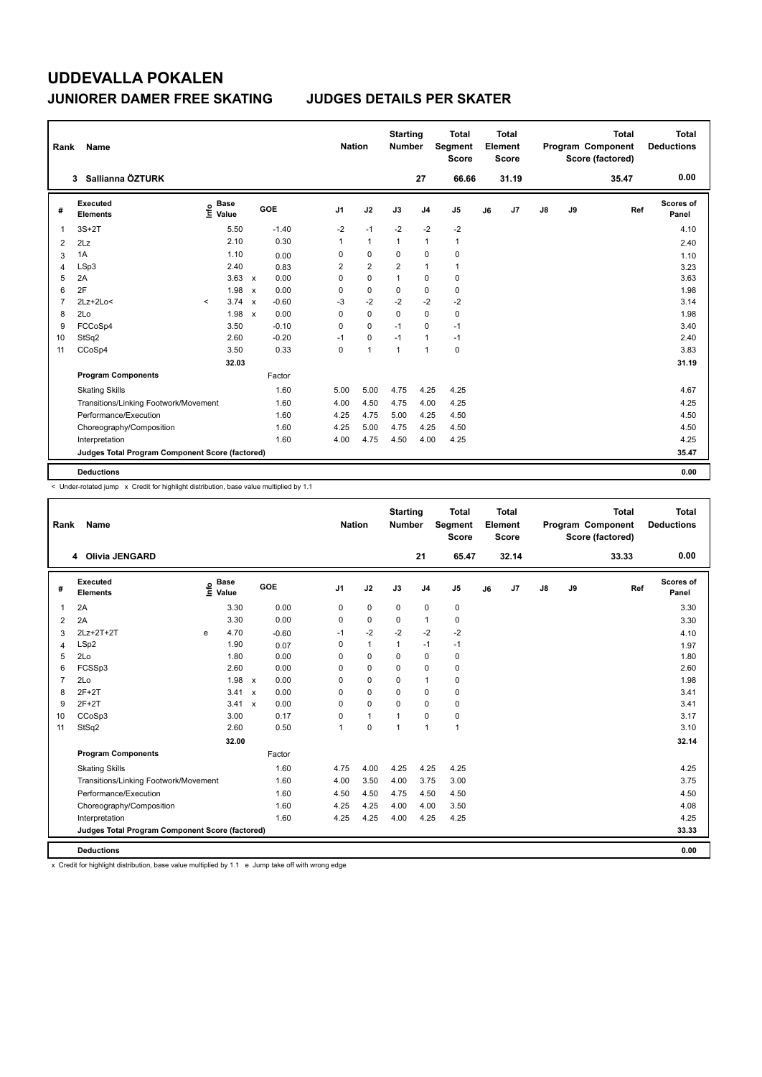| Rank           | Name                                            |                              |                         |                | <b>Nation</b>  | <b>Starting</b><br><b>Number</b> |                | <b>Total</b><br>Segment<br><b>Score</b> |    | <b>Total</b><br>Element<br>Score |               |    | <b>Total</b><br>Program Component<br>Score (factored) | Total<br><b>Deductions</b> |
|----------------|-------------------------------------------------|------------------------------|-------------------------|----------------|----------------|----------------------------------|----------------|-----------------------------------------|----|----------------------------------|---------------|----|-------------------------------------------------------|----------------------------|
|                | Sallianna ÖZTURK<br>3                           |                              |                         |                |                |                                  | 27             | 66.66                                   |    | 31.19                            |               |    | 35.47                                                 | 0.00                       |
| #              | <b>Executed</b><br><b>Elements</b>              | <b>Base</b><br>١nf٥<br>Value | GOE                     | J <sub>1</sub> | J2             | J3                               | J <sub>4</sub> | J <sub>5</sub>                          | J6 | J7                               | $\mathsf{J}8$ | J9 | Ref                                                   | Scores of<br>Panel         |
| 1              | $3S+2T$                                         | 5.50                         | $-1.40$                 | $-2$           | $-1$           | $-2$                             | $-2$           | $-2$                                    |    |                                  |               |    |                                                       | 4.10                       |
| $\overline{2}$ | 2Lz                                             | 2.10                         | 0.30                    | 1              | $\mathbf{1}$   | 1                                | $\mathbf{1}$   | $\mathbf{1}$                            |    |                                  |               |    |                                                       | 2.40                       |
| 3              | 1A                                              | 1.10                         | 0.00                    | 0              | 0              | 0                                | 0              | 0                                       |    |                                  |               |    |                                                       | 1.10                       |
| 4              | LSp3                                            | 2.40                         | 0.83                    | 2              | $\overline{2}$ | $\overline{\mathbf{c}}$          | $\mathbf{1}$   | $\mathbf{1}$                            |    |                                  |               |    |                                                       | 3.23                       |
| 5              | 2A                                              | $3.63 \times$                | 0.00                    | 0              | 0              | 1                                | 0              | 0                                       |    |                                  |               |    |                                                       | 3.63                       |
| 6              | 2F                                              | 1.98                         | 0.00<br>$\mathsf{x}$    | 0              | $\mathbf 0$    | 0                                | $\mathbf 0$    | $\mathbf 0$                             |    |                                  |               |    |                                                       | 1.98                       |
| 7              | 2Lz+2Lo<                                        | 3.74<br>$\prec$              | $-0.60$<br>$\mathsf{x}$ | $-3$           | $-2$           | $-2$                             | $-2$           | $-2$                                    |    |                                  |               |    |                                                       | 3.14                       |
| 8              | 2Lo                                             | 1.98                         | 0.00<br>$\mathbf{x}$    | 0              | $\mathbf 0$    | $\Omega$                         | $\mathbf 0$    | 0                                       |    |                                  |               |    |                                                       | 1.98                       |
| 9              | FCCoSp4                                         | 3.50                         | $-0.10$                 | 0              | 0              | $-1$                             | 0              | $-1$                                    |    |                                  |               |    |                                                       | 3.40                       |
| 10             | StSq2                                           | 2.60                         | $-0.20$                 | $-1$           | 0              | $-1$                             | $\mathbf{1}$   | $-1$                                    |    |                                  |               |    |                                                       | 2.40                       |
| 11             | CCoSp4                                          | 3.50                         | 0.33                    | 0              | $\overline{1}$ | $\overline{1}$                   | $\overline{1}$ | $\mathbf 0$                             |    |                                  |               |    |                                                       | 3.83                       |
|                |                                                 | 32.03                        |                         |                |                |                                  |                |                                         |    |                                  |               |    |                                                       | 31.19                      |
|                | <b>Program Components</b>                       |                              | Factor                  |                |                |                                  |                |                                         |    |                                  |               |    |                                                       |                            |
|                | <b>Skating Skills</b>                           |                              | 1.60                    | 5.00           | 5.00           | 4.75                             | 4.25           | 4.25                                    |    |                                  |               |    |                                                       | 4.67                       |
|                | Transitions/Linking Footwork/Movement           |                              | 1.60                    | 4.00           | 4.50           | 4.75                             | 4.00           | 4.25                                    |    |                                  |               |    |                                                       | 4.25                       |
|                | Performance/Execution                           |                              | 1.60                    | 4.25           | 4.75           | 5.00                             | 4.25           | 4.50                                    |    |                                  |               |    |                                                       | 4.50                       |
|                | Choreography/Composition                        |                              | 1.60                    | 4.25           | 5.00           | 4.75                             | 4.25           | 4.50                                    |    |                                  |               |    |                                                       | 4.50                       |
|                | Interpretation                                  |                              | 1.60                    | 4.00           | 4.75           | 4.50                             | 4.00           | 4.25                                    |    |                                  |               |    |                                                       | 4.25                       |
|                | Judges Total Program Component Score (factored) |                              |                         |                |                |                                  |                |                                         |    |                                  |               |    |                                                       | 35.47                      |
|                | <b>Deductions</b>                               |                              |                         |                |                |                                  |                |                                         |    |                                  |               |    |                                                       | 0.00                       |

< Under-rotated jump x Credit for highlight distribution, base value multiplied by 1.1

| Rank           | Name                                            |                                  |               |         |                | <b>Nation</b> |              | <b>Starting</b><br><b>Number</b> |                | <b>Total</b><br>Segment<br><b>Score</b> |    | Total<br>Element<br><b>Score</b> |    |    | <b>Total</b><br>Program Component<br>Score (factored) | Total<br><b>Deductions</b> |
|----------------|-------------------------------------------------|----------------------------------|---------------|---------|----------------|---------------|--------------|----------------------------------|----------------|-----------------------------------------|----|----------------------------------|----|----|-------------------------------------------------------|----------------------------|
|                | 4 Olivia JENGARD                                |                                  |               |         |                |               |              |                                  | 21             | 65.47                                   |    | 32.14                            |    |    | 33.33                                                 | 0.00                       |
| #              | <b>Executed</b><br><b>Elements</b>              | <b>Base</b><br>e Base<br>⊆ Value |               | GOE     | J1             |               | J2           | J3                               | J <sub>4</sub> | J5                                      | J6 | J7                               | J8 | J9 | Ref                                                   | <b>Scores of</b><br>Panel  |
| 1              | 2A                                              | 3.30                             |               | 0.00    | 0              |               | $\mathbf 0$  | $\mathbf 0$                      | 0              | 0                                       |    |                                  |    |    |                                                       | 3.30                       |
| 2              | 2A                                              | 3.30                             |               | 0.00    | 0              |               | 0            | 0                                | $\mathbf{1}$   | 0                                       |    |                                  |    |    |                                                       | 3.30                       |
| 3              | 2Lz+2T+2T                                       | 4.70<br>e                        |               | $-0.60$ | $-1$           |               | $-2$         | $-2$                             | $-2$           | $-2$                                    |    |                                  |    |    |                                                       | 4.10                       |
| 4              | LSp2                                            | 1.90                             |               | 0.07    | 0              |               | $\mathbf{1}$ | 1                                | $-1$           | $-1$                                    |    |                                  |    |    |                                                       | 1.97                       |
| 5              | 2Lo                                             | 1.80                             |               | 0.00    | $\Omega$       |               | $\mathbf 0$  | 0                                | 0              | 0                                       |    |                                  |    |    |                                                       | 1.80                       |
| 6              | FCSSp3                                          | 2.60                             |               | 0.00    | $\Omega$       |               | $\Omega$     | 0                                | $\Omega$       | 0                                       |    |                                  |    |    |                                                       | 2.60                       |
| $\overline{7}$ | 2Lo                                             |                                  | $1.98 \times$ | 0.00    | $\Omega$       |               | $\Omega$     | $\Omega$                         | $\mathbf{1}$   | 0                                       |    |                                  |    |    |                                                       | 1.98                       |
| 8              | $2F+2T$                                         |                                  | 3.41 x        | 0.00    | $\Omega$       |               | 0            | 0                                | 0              | 0                                       |    |                                  |    |    |                                                       | 3.41                       |
| 9              | $2F+2T$                                         |                                  | 3.41 x        | 0.00    | $\Omega$       |               | $\mathbf 0$  | $\Omega$                         | 0              | 0                                       |    |                                  |    |    |                                                       | 3.41                       |
| 10             | CCoSp3                                          | 3.00                             |               | 0.17    | $\Omega$       |               | $\mathbf{1}$ | 1                                | $\Omega$       | 0                                       |    |                                  |    |    |                                                       | 3.17                       |
| 11             | StSq2                                           | 2.60                             |               | 0.50    | $\overline{1}$ |               | 0            | $\overline{1}$                   | $\mathbf{1}$   | $\mathbf{1}$                            |    |                                  |    |    |                                                       | 3.10                       |
|                |                                                 | 32.00                            |               |         |                |               |              |                                  |                |                                         |    |                                  |    |    |                                                       | 32.14                      |
|                | <b>Program Components</b>                       |                                  |               | Factor  |                |               |              |                                  |                |                                         |    |                                  |    |    |                                                       |                            |
|                | <b>Skating Skills</b>                           |                                  |               | 1.60    |                | 4.75          | 4.00         | 4.25                             | 4.25           | 4.25                                    |    |                                  |    |    |                                                       | 4.25                       |
|                | Transitions/Linking Footwork/Movement           |                                  |               | 1.60    |                | 4.00          | 3.50         | 4.00                             | 3.75           | 3.00                                    |    |                                  |    |    |                                                       | 3.75                       |
|                | Performance/Execution                           |                                  |               | 1.60    |                | 4.50          | 4.50         | 4.75                             | 4.50           | 4.50                                    |    |                                  |    |    |                                                       | 4.50                       |
|                | Choreography/Composition                        |                                  |               | 1.60    |                | 4.25          | 4.25         | 4.00                             | 4.00           | 3.50                                    |    |                                  |    |    |                                                       | 4.08                       |
|                | Interpretation                                  |                                  |               | 1.60    |                | 4.25          | 4.25         | 4.00                             | 4.25           | 4.25                                    |    |                                  |    |    |                                                       | 4.25                       |
|                | Judges Total Program Component Score (factored) |                                  |               |         |                |               |              |                                  |                |                                         |    |                                  |    |    |                                                       | 33.33                      |
|                | <b>Deductions</b>                               |                                  |               |         |                |               |              |                                  |                |                                         |    |                                  |    |    |                                                       | 0.00                       |

x Credit for highlight distribution, base value multiplied by 1.1 e Jump take off with wrong edge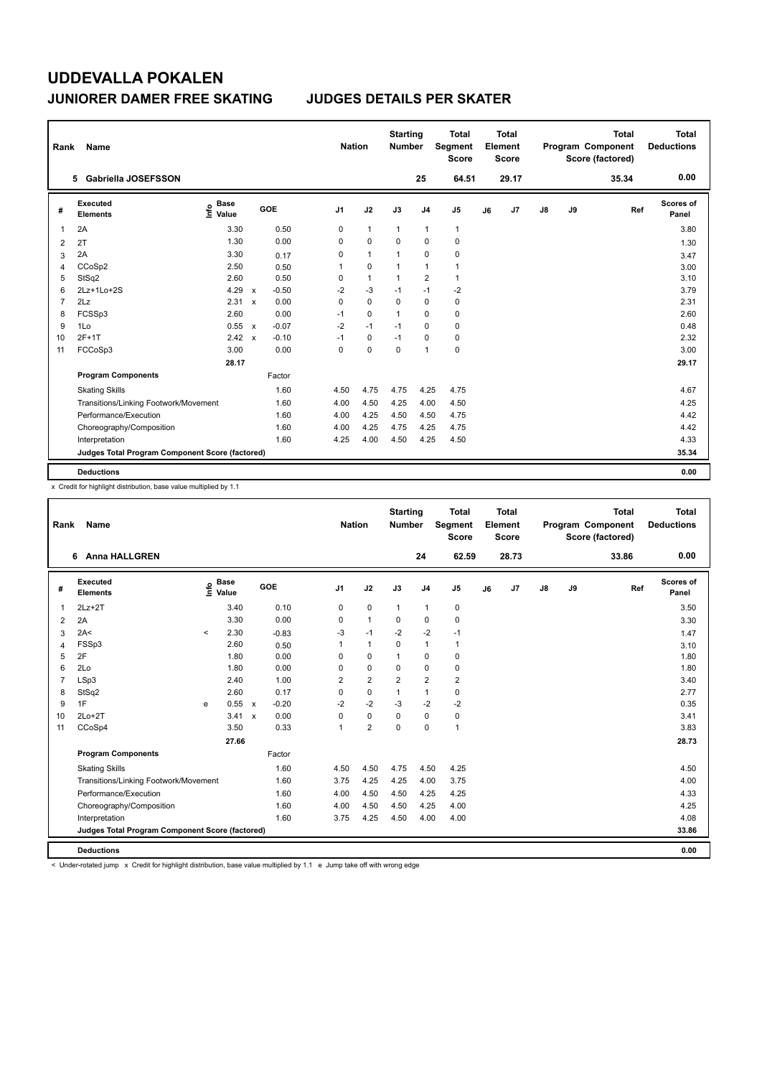| Rank           | Name                                            |                              |                           |         |                | <b>Nation</b> |              | <b>Starting</b><br><b>Number</b> |                | Total<br>Segment<br><b>Score</b> |    | <b>Total</b><br>Element<br>Score |               |    | <b>Total</b><br>Program Component<br>Score (factored) | <b>Total</b><br><b>Deductions</b> |
|----------------|-------------------------------------------------|------------------------------|---------------------------|---------|----------------|---------------|--------------|----------------------------------|----------------|----------------------------------|----|----------------------------------|---------------|----|-------------------------------------------------------|-----------------------------------|
|                | 5 Gabriella JOSEFSSON                           |                              |                           |         |                |               |              |                                  | 25             | 64.51                            |    | 29.17                            |               |    | 35.34                                                 | 0.00                              |
| #              | Executed<br><b>Elements</b>                     | <b>Base</b><br>١nfo<br>Value |                           | GOE     | J <sub>1</sub> |               | J2           | J3                               | J <sub>4</sub> | J <sub>5</sub>                   | J6 | J7                               | $\mathsf{J}8$ | J9 | Ref                                                   | Scores of<br>Panel                |
| 1              | 2A                                              | 3.30                         |                           | 0.50    | 0              |               | $\mathbf{1}$ | $\mathbf{1}$                     | $\mathbf{1}$   | $\mathbf{1}$                     |    |                                  |               |    |                                                       | 3.80                              |
| 2              | 2T                                              | 1.30                         |                           | 0.00    | 0              |               | $\mathbf 0$  | $\Omega$                         | $\Omega$       | 0                                |    |                                  |               |    |                                                       | 1.30                              |
| 3              | 2A                                              | 3.30                         |                           | 0.17    | 0              |               | $\mathbf{1}$ | $\overline{1}$                   | $\mathbf 0$    | 0                                |    |                                  |               |    |                                                       | 3.47                              |
| 4              | CCoSp2                                          | 2.50                         |                           | 0.50    | 1              |               | $\mathbf 0$  | $\overline{1}$                   | $\mathbf{1}$   | $\mathbf{1}$                     |    |                                  |               |    |                                                       | 3.00                              |
| 5              | StSq2                                           | 2.60                         |                           | 0.50    | 0              |               | $\mathbf{1}$ | $\mathbf{1}$                     | $\overline{2}$ | $\mathbf{1}$                     |    |                                  |               |    |                                                       | 3.10                              |
| 6              | 2Lz+1Lo+2S                                      | 4.29                         | $\boldsymbol{\mathsf{x}}$ | $-0.50$ | $-2$           |               | $-3$         | $-1$                             | $-1$           | $-2$                             |    |                                  |               |    |                                                       | 3.79                              |
| $\overline{7}$ | 2Lz                                             | 2.31                         | $\mathbf{x}$              | 0.00    | 0              |               | $\mathbf 0$  | 0                                | $\mathbf 0$    | 0                                |    |                                  |               |    |                                                       | 2.31                              |
| 8              | FCSSp3                                          | 2.60                         |                           | 0.00    | $-1$           |               | $\Omega$     | $\mathbf{1}$                     | $\Omega$       | 0                                |    |                                  |               |    |                                                       | 2.60                              |
| 9              | 1Lo                                             | 0.55                         | $\mathbf{x}$              | $-0.07$ | $-2$           |               | $-1$         | $-1$                             | 0              | 0                                |    |                                  |               |    |                                                       | 0.48                              |
| 10             | $2F+1T$                                         | 2.42                         | $\mathbf{x}$              | $-0.10$ | $-1$           |               | 0            | $-1$                             | 0              | 0                                |    |                                  |               |    |                                                       | 2.32                              |
| 11             | FCCoSp3                                         | 3.00                         |                           | 0.00    | $\Omega$       |               | $\Omega$     | $\mathbf 0$                      | $\mathbf{1}$   | $\mathbf 0$                      |    |                                  |               |    |                                                       | 3.00                              |
|                |                                                 | 28.17                        |                           |         |                |               |              |                                  |                |                                  |    |                                  |               |    |                                                       | 29.17                             |
|                | <b>Program Components</b>                       |                              |                           | Factor  |                |               |              |                                  |                |                                  |    |                                  |               |    |                                                       |                                   |
|                | <b>Skating Skills</b>                           |                              |                           | 1.60    | 4.50           |               | 4.75         | 4.75                             | 4.25           | 4.75                             |    |                                  |               |    |                                                       | 4.67                              |
|                | Transitions/Linking Footwork/Movement           |                              |                           | 1.60    | 4.00           |               | 4.50         | 4.25                             | 4.00           | 4.50                             |    |                                  |               |    |                                                       | 4.25                              |
|                | Performance/Execution                           |                              |                           | 1.60    | 4.00           |               | 4.25         | 4.50                             | 4.50           | 4.75                             |    |                                  |               |    |                                                       | 4.42                              |
|                | Choreography/Composition                        |                              |                           | 1.60    | 4.00           |               | 4.25         | 4.75                             | 4.25           | 4.75                             |    |                                  |               |    |                                                       | 4.42                              |
|                | Interpretation                                  |                              |                           | 1.60    | 4.25           |               | 4.00         | 4.50                             | 4.25           | 4.50                             |    |                                  |               |    |                                                       | 4.33                              |
|                | Judges Total Program Component Score (factored) |                              |                           |         |                |               |              |                                  |                |                                  |    |                                  |               |    |                                                       | 35.34                             |
|                | <b>Deductions</b>                               |                              |                           |         |                |               |              |                                  |                |                                  |    |                                  |               |    |                                                       | 0.00                              |

x Credit for highlight distribution, base value multiplied by 1.1

| Rank           | Name                                            |          |                      |         | <b>Nation</b>  |                | <b>Starting</b><br><b>Number</b> |                | <b>Total</b><br>Segment<br><b>Score</b> |    | <b>Total</b><br>Element<br><b>Score</b> |               |    | <b>Total</b><br>Program Component<br>Score (factored) |     | <b>Total</b><br><b>Deductions</b> |
|----------------|-------------------------------------------------|----------|----------------------|---------|----------------|----------------|----------------------------------|----------------|-----------------------------------------|----|-----------------------------------------|---------------|----|-------------------------------------------------------|-----|-----------------------------------|
|                | <b>Anna HALLGREN</b><br>6.                      |          |                      |         |                |                |                                  | 24             | 62.59                                   |    | 28.73                                   |               |    | 33.86                                                 |     | 0.00                              |
| #              | Executed<br><b>Elements</b>                     | lnfo     | <b>Base</b><br>Value | GOE     | J <sub>1</sub> | J2             | J3                               | J <sub>4</sub> | J <sub>5</sub>                          | J6 | J7                                      | $\mathsf{J}8$ | J9 |                                                       | Ref | Scores of<br>Panel                |
| 1              | $2Lz+2T$                                        |          | 3.40                 | 0.10    | 0              | 0              | $\mathbf{1}$                     | 1              | 0                                       |    |                                         |               |    |                                                       |     | 3.50                              |
| $\overline{2}$ | 2A                                              |          | 3.30                 | 0.00    | 0              | $\mathbf{1}$   | 0                                | 0              | 0                                       |    |                                         |               |    |                                                       |     | 3.30                              |
| 3              | 2A<                                             | $\hat{}$ | 2.30                 | $-0.83$ | $-3$           | $-1$           | $-2$                             | $-2$           | $-1$                                    |    |                                         |               |    |                                                       |     | 1.47                              |
| $\overline{4}$ | FSSp3                                           |          | 2.60                 | 0.50    | 1              | 1              | 0                                | $\mathbf{1}$   | $\mathbf{1}$                            |    |                                         |               |    |                                                       |     | 3.10                              |
| 5              | 2F                                              |          | 1.80                 | 0.00    | $\Omega$       | 0              | 1                                | 0              | 0                                       |    |                                         |               |    |                                                       |     | 1.80                              |
| 6              | 2Lo                                             |          | 1.80                 | 0.00    | 0              | 0              | $\Omega$                         | 0              | 0                                       |    |                                         |               |    |                                                       |     | 1.80                              |
| $\overline{7}$ | LSp3                                            |          | 2.40                 | 1.00    | $\overline{2}$ | $\overline{2}$ | $\overline{2}$                   | $\overline{2}$ | 2                                       |    |                                         |               |    |                                                       |     | 3.40                              |
| 8              | StSq2                                           |          | 2.60                 | 0.17    | 0              | 0              | 1                                | $\mathbf{1}$   | 0                                       |    |                                         |               |    |                                                       |     | 2.77                              |
| 9              | 1F                                              | e        | 0.55 x               | $-0.20$ | $-2$           | $-2$           | $-3$                             | $-2$           | $-2$                                    |    |                                         |               |    |                                                       |     | 0.35                              |
| 10             | $2Lo+2T$                                        |          | $3.41 \times$        | 0.00    | 0              | $\Omega$       | $\Omega$                         | $\Omega$       | 0                                       |    |                                         |               |    |                                                       |     | 3.41                              |
| 11             | CCoSp4                                          |          | 3.50                 | 0.33    | 1              | $\overline{2}$ | $\Omega$                         | 0              | $\mathbf{1}$                            |    |                                         |               |    |                                                       |     | 3.83                              |
|                |                                                 |          | 27.66                |         |                |                |                                  |                |                                         |    |                                         |               |    |                                                       |     | 28.73                             |
|                | <b>Program Components</b>                       |          |                      | Factor  |                |                |                                  |                |                                         |    |                                         |               |    |                                                       |     |                                   |
|                | <b>Skating Skills</b>                           |          |                      | 1.60    | 4.50           | 4.50           | 4.75                             | 4.50           | 4.25                                    |    |                                         |               |    |                                                       |     | 4.50                              |
|                | Transitions/Linking Footwork/Movement           |          |                      | 1.60    | 3.75           | 4.25           | 4.25                             | 4.00           | 3.75                                    |    |                                         |               |    |                                                       |     | 4.00                              |
|                | Performance/Execution                           |          |                      | 1.60    | 4.00           | 4.50           | 4.50                             | 4.25           | 4.25                                    |    |                                         |               |    |                                                       |     | 4.33                              |
|                | Choreography/Composition                        |          |                      | 1.60    | 4.00           | 4.50           | 4.50                             | 4.25           | 4.00                                    |    |                                         |               |    |                                                       |     | 4.25                              |
|                | Interpretation                                  |          |                      | 1.60    | 3.75           | 4.25           | 4.50                             | 4.00           | 4.00                                    |    |                                         |               |    |                                                       |     | 4.08                              |
|                | Judges Total Program Component Score (factored) |          |                      |         |                |                |                                  |                |                                         |    |                                         |               |    |                                                       |     | 33.86                             |
|                | <b>Deductions</b>                               |          |                      |         |                |                |                                  |                |                                         |    |                                         |               |    |                                                       |     | 0.00                              |

< Under-rotated jump x Credit for highlight distribution, base value multiplied by 1.1 e Jump take off with wrong edge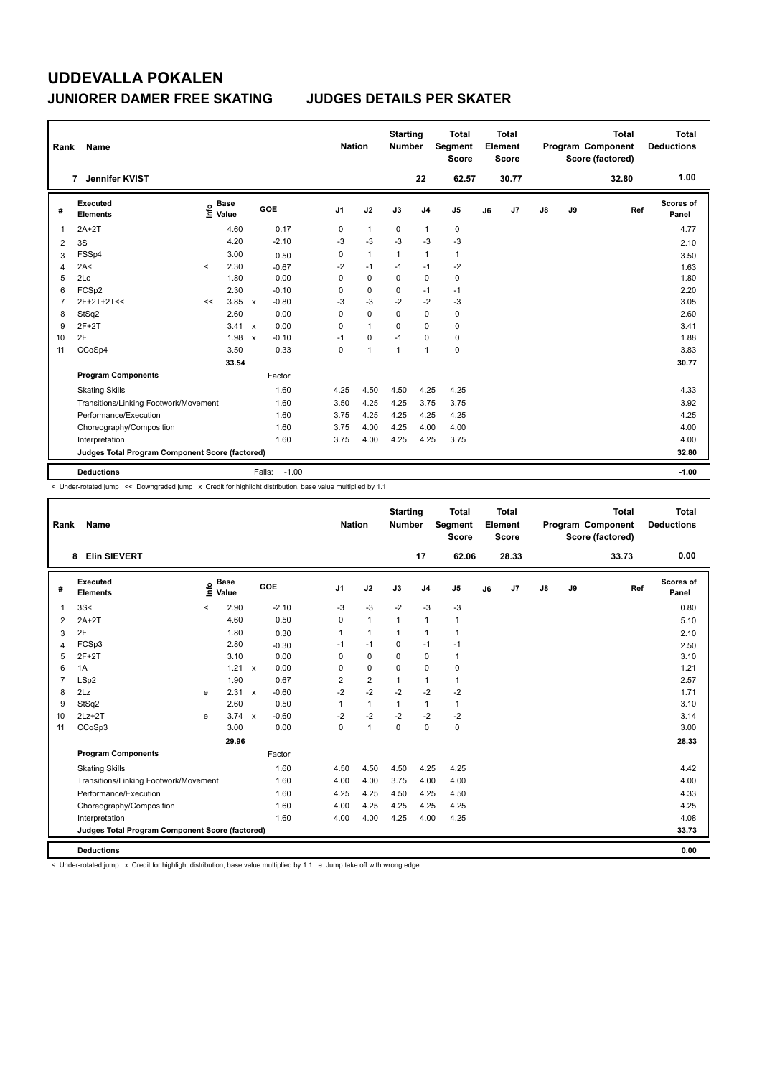| Rank           | Name                                            |         |                      |              |                   | <b>Nation</b>  |                | <b>Starting</b><br><b>Number</b> |                | Total<br>Segment<br><b>Score</b> |    | <b>Total</b><br>Element<br><b>Score</b> |               |    | <b>Total</b><br>Program Component<br>Score (factored) | <b>Total</b><br><b>Deductions</b> |
|----------------|-------------------------------------------------|---------|----------------------|--------------|-------------------|----------------|----------------|----------------------------------|----------------|----------------------------------|----|-----------------------------------------|---------------|----|-------------------------------------------------------|-----------------------------------|
|                | Jennifer KVIST<br>$\overline{7}$                |         |                      |              |                   |                |                |                                  | 22             | 62.57                            |    | 30.77                                   |               |    | 32.80                                                 | 1.00                              |
| #              | Executed<br><b>Elements</b>                     | ١nfo    | <b>Base</b><br>Value |              | GOE               | J <sub>1</sub> | J2             | J3                               | J <sub>4</sub> | J <sub>5</sub>                   | J6 | J7                                      | $\mathsf{J}8$ | J9 | Ref                                                   | Scores of<br>Panel                |
| 1              | $2A+2T$                                         |         | 4.60                 |              | 0.17              | 0              | $\mathbf{1}$   | 0                                | $\mathbf{1}$   | 0                                |    |                                         |               |    |                                                       | 4.77                              |
| 2              | 3S                                              |         | 4.20                 |              | $-2.10$           | $-3$           | $-3$           | $-3$                             | $-3$           | $-3$                             |    |                                         |               |    |                                                       | 2.10                              |
| 3              | FSSp4                                           |         | 3.00                 |              | 0.50              | 0              | $\mathbf{1}$   | $\mathbf{1}$                     | $\mathbf{1}$   | $\mathbf{1}$                     |    |                                         |               |    |                                                       | 3.50                              |
| 4              | 2A<                                             | $\prec$ | 2.30                 |              | $-0.67$           | $-2$           | $-1$           | $-1$                             | $-1$           | $-2$                             |    |                                         |               |    |                                                       | 1.63                              |
| 5              | 2Lo                                             |         | 1.80                 |              | 0.00              | 0              | 0              | 0                                | $\mathbf 0$    | 0                                |    |                                         |               |    |                                                       | 1.80                              |
| 6              | FCSp2                                           |         | 2.30                 |              | $-0.10$           | 0              | $\mathbf 0$    | 0                                | $-1$           | $-1$                             |    |                                         |               |    |                                                       | 2.20                              |
| $\overline{7}$ | $2F+2T+2T<<$                                    | <<      | 3.85                 | $\mathsf{x}$ | $-0.80$           | -3             | $-3$           | $-2$                             | $-2$           | $-3$                             |    |                                         |               |    |                                                       | 3.05                              |
| 8              | StSq2                                           |         | 2.60                 |              | 0.00              | 0              | $\mathbf 0$    | $\Omega$                         | $\mathbf 0$    | 0                                |    |                                         |               |    |                                                       | 2.60                              |
| 9              | $2F+2T$                                         |         | $3.41 \times$        |              | 0.00              | 0              | $\overline{1}$ | $\Omega$                         | 0              | 0                                |    |                                         |               |    |                                                       | 3.41                              |
| 10             | 2F                                              |         | 1.98                 | $\mathbf x$  | $-0.10$           | $-1$           | 0              | $-1$                             | 0              | 0                                |    |                                         |               |    |                                                       | 1.88                              |
| 11             | CCoSp4                                          |         | 3.50                 |              | 0.33              | 0              | $\overline{1}$ | $\mathbf{1}$                     | $\mathbf{1}$   | $\mathbf 0$                      |    |                                         |               |    |                                                       | 3.83                              |
|                |                                                 |         | 33.54                |              |                   |                |                |                                  |                |                                  |    |                                         |               |    |                                                       | 30.77                             |
|                | <b>Program Components</b>                       |         |                      |              | Factor            |                |                |                                  |                |                                  |    |                                         |               |    |                                                       |                                   |
|                | <b>Skating Skills</b>                           |         |                      |              | 1.60              | 4.25           | 4.50           | 4.50                             | 4.25           | 4.25                             |    |                                         |               |    |                                                       | 4.33                              |
|                | Transitions/Linking Footwork/Movement           |         |                      |              | 1.60              | 3.50           | 4.25           | 4.25                             | 3.75           | 3.75                             |    |                                         |               |    |                                                       | 3.92                              |
|                | Performance/Execution                           |         |                      |              | 1.60              | 3.75           | 4.25           | 4.25                             | 4.25           | 4.25                             |    |                                         |               |    |                                                       | 4.25                              |
|                | Choreography/Composition                        |         |                      |              | 1.60              | 3.75           | 4.00           | 4.25                             | 4.00           | 4.00                             |    |                                         |               |    |                                                       | 4.00                              |
|                | Interpretation                                  |         |                      |              | 1.60              | 3.75           | 4.00           | 4.25                             | 4.25           | 3.75                             |    |                                         |               |    |                                                       | 4.00                              |
|                | Judges Total Program Component Score (factored) |         |                      |              |                   |                |                |                                  |                |                                  |    |                                         |               |    |                                                       | 32.80                             |
|                | <b>Deductions</b>                               |         |                      |              | $-1.00$<br>Falls: |                |                |                                  |                |                                  |    |                                         |               |    |                                                       | $-1.00$                           |

< Under-rotated jump << Downgraded jump x Credit for highlight distribution, base value multiplied by 1.1

| Rank           | Name                                            |         |                      |              |         | <b>Nation</b>  |                | <b>Starting</b><br><b>Number</b> |                | <b>Total</b><br>Segment<br><b>Score</b> |    | <b>Total</b><br>Element<br><b>Score</b> |               |    | <b>Total</b><br>Program Component<br>Score (factored) | <b>Total</b><br><b>Deductions</b> |
|----------------|-------------------------------------------------|---------|----------------------|--------------|---------|----------------|----------------|----------------------------------|----------------|-----------------------------------------|----|-----------------------------------------|---------------|----|-------------------------------------------------------|-----------------------------------|
|                | <b>Elin SIEVERT</b><br>8                        |         |                      |              |         |                |                |                                  | 17             | 62.06                                   |    | 28.33                                   |               |    | 33.73                                                 | 0.00                              |
| #              | Executed<br><b>Elements</b>                     | ١nfo    | <b>Base</b><br>Value |              | GOE     | J <sub>1</sub> | J2             | J3                               | J <sub>4</sub> | J <sub>5</sub>                          | J6 | J7                                      | $\mathsf{J}8$ | J9 | Ref                                                   | Scores of<br>Panel                |
| 1              | 3S<                                             | $\prec$ | 2.90                 |              | $-2.10$ | $-3$           | $-3$           | $-2$                             | $-3$           | $-3$                                    |    |                                         |               |    |                                                       | 0.80                              |
| 2              | $2A+2T$                                         |         | 4.60                 |              | 0.50    | $\Omega$       | $\mathbf{1}$   | $\mathbf{1}$                     | $\overline{1}$ | $\mathbf{1}$                            |    |                                         |               |    |                                                       | 5.10                              |
| 3              | 2F                                              |         | 1.80                 |              | 0.30    | 1              | $\mathbf{1}$   | $\mathbf{1}$                     | $\mathbf{1}$   | $\mathbf{1}$                            |    |                                         |               |    |                                                       | 2.10                              |
| 4              | FCSp3                                           |         | 2.80                 |              | $-0.30$ | $-1$           | $-1$           | 0                                | $-1$           | $-1$                                    |    |                                         |               |    |                                                       | 2.50                              |
| 5              | $2F+2T$                                         |         | 3.10                 |              | 0.00    | $\Omega$       | $\mathbf 0$    | $\mathbf 0$                      | $\mathbf 0$    | $\mathbf{1}$                            |    |                                         |               |    |                                                       | 3.10                              |
| 6              | 1A                                              |         | $1.21 \times$        |              | 0.00    | $\Omega$       | $\mathbf 0$    | 0                                | $\mathbf 0$    | 0                                       |    |                                         |               |    |                                                       | 1.21                              |
| $\overline{7}$ | LSp2                                            |         | 1.90                 |              | 0.67    | $\overline{2}$ | $\overline{2}$ | $\mathbf{1}$                     | $\mathbf{1}$   | $\mathbf{1}$                            |    |                                         |               |    |                                                       | 2.57                              |
| 8              | 2Lz                                             | e       | 2.31                 | $\mathsf{x}$ | $-0.60$ | $-2$           | $-2$           | $-2$                             | $-2$           | $-2$                                    |    |                                         |               |    |                                                       | 1.71                              |
| 9              | StSq2                                           |         | 2.60                 |              | 0.50    | 1              | $\mathbf{1}$   | $\mathbf{1}$                     | 1              | $\mathbf{1}$                            |    |                                         |               |    |                                                       | 3.10                              |
| 10             | $2Lz+2T$                                        | e       | $3.74 \times$        |              | $-0.60$ | $-2$           | $-2$           | $-2$                             | $-2$           | $-2$                                    |    |                                         |               |    |                                                       | 3.14                              |
| 11             | CCoSp3                                          |         | 3.00                 |              | 0.00    | $\mathbf 0$    | $\mathbf{1}$   | $\mathbf 0$                      | $\mathbf 0$    | $\pmb{0}$                               |    |                                         |               |    |                                                       | 3.00                              |
|                |                                                 |         | 29.96                |              |         |                |                |                                  |                |                                         |    |                                         |               |    |                                                       | 28.33                             |
|                | <b>Program Components</b>                       |         |                      |              | Factor  |                |                |                                  |                |                                         |    |                                         |               |    |                                                       |                                   |
|                | <b>Skating Skills</b>                           |         |                      |              | 1.60    | 4.50           | 4.50           | 4.50                             | 4.25           | 4.25                                    |    |                                         |               |    |                                                       | 4.42                              |
|                | Transitions/Linking Footwork/Movement           |         |                      |              | 1.60    | 4.00           | 4.00           | 3.75                             | 4.00           | 4.00                                    |    |                                         |               |    |                                                       | 4.00                              |
|                | Performance/Execution                           |         |                      |              | 1.60    | 4.25           | 4.25           | 4.50                             | 4.25           | 4.50                                    |    |                                         |               |    |                                                       | 4.33                              |
|                | Choreography/Composition                        |         |                      |              | 1.60    | 4.00           | 4.25           | 4.25                             | 4.25           | 4.25                                    |    |                                         |               |    |                                                       | 4.25                              |
|                | Interpretation                                  |         |                      |              | 1.60    | 4.00           | 4.00           | 4.25                             | 4.00           | 4.25                                    |    |                                         |               |    |                                                       | 4.08                              |
|                | Judges Total Program Component Score (factored) |         |                      |              |         |                |                |                                  |                |                                         |    |                                         |               |    |                                                       | 33.73                             |
|                | <b>Deductions</b>                               |         |                      |              |         |                |                |                                  |                |                                         |    |                                         |               |    |                                                       | 0.00                              |

< Under-rotated jump x Credit for highlight distribution, base value multiplied by 1.1 e Jump take off with wrong edge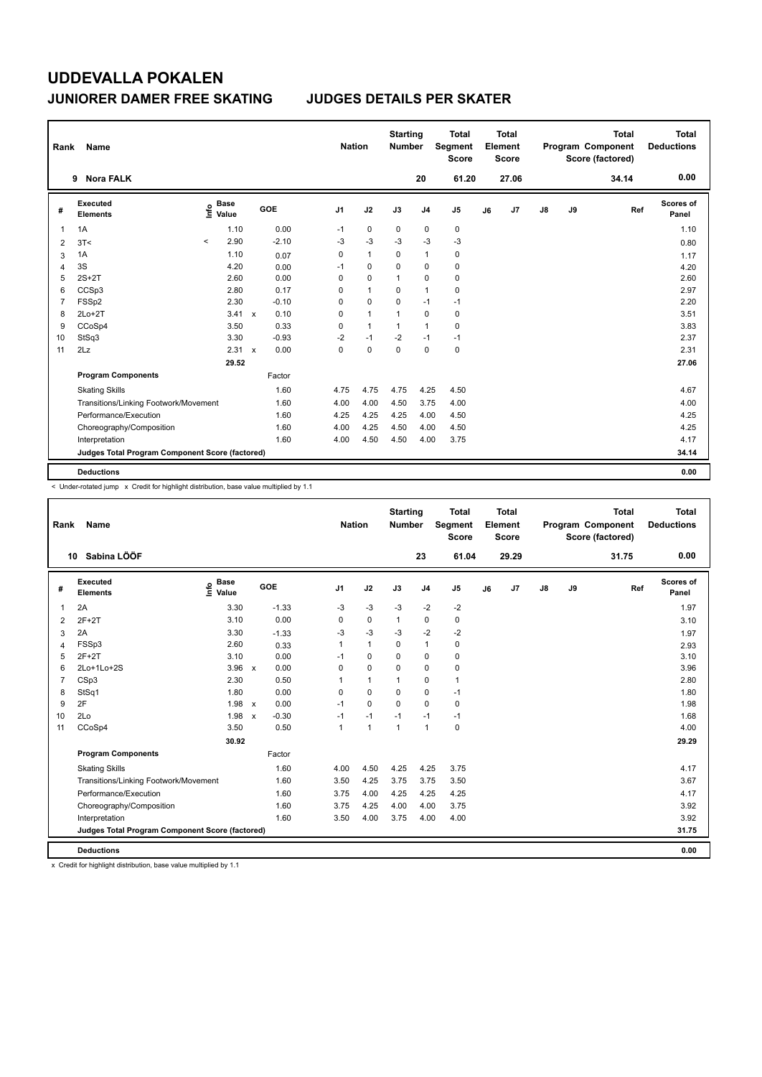| Rank           | Name                                            |         |                      |                           |            | <b>Nation</b> |              | <b>Starting</b><br><b>Number</b> |                | <b>Total</b><br>Segment<br><b>Score</b> |    | <b>Total</b><br>Element<br><b>Score</b> |               |    | <b>Total</b><br>Program Component<br>Score (factored) | <b>Total</b><br><b>Deductions</b> |
|----------------|-------------------------------------------------|---------|----------------------|---------------------------|------------|---------------|--------------|----------------------------------|----------------|-----------------------------------------|----|-----------------------------------------|---------------|----|-------------------------------------------------------|-----------------------------------|
|                | <b>Nora FALK</b><br>9                           |         |                      |                           |            |               |              |                                  | 20             | 61.20                                   |    | 27.06                                   |               |    | 34.14                                                 | 0.00                              |
| #              | Executed<br><b>Elements</b>                     | ١nfo    | <b>Base</b><br>Value |                           | <b>GOE</b> | J1            | J2           | J3                               | J <sub>4</sub> | J <sub>5</sub>                          | J6 | J <sub>7</sub>                          | $\mathsf{J}8$ | J9 | Ref                                                   | Scores of<br>Panel                |
| 1              | 1A                                              |         | 1.10                 |                           | 0.00       | $-1$          | $\mathbf 0$  | $\mathbf 0$                      | $\mathbf 0$    | $\pmb{0}$                               |    |                                         |               |    |                                                       | 1.10                              |
| $\overline{2}$ | 3T<                                             | $\prec$ | 2.90                 |                           | $-2.10$    | $-3$          | $-3$         | $-3$                             | $-3$           | $-3$                                    |    |                                         |               |    |                                                       | 0.80                              |
| 3              | 1A                                              |         | 1.10                 |                           | 0.07       | 0             | $\mathbf{1}$ | 0                                | $\overline{1}$ | 0                                       |    |                                         |               |    |                                                       | 1.17                              |
| 4              | 3S                                              |         | 4.20                 |                           | 0.00       | $-1$          | $\mathbf 0$  | $\Omega$                         | 0              | 0                                       |    |                                         |               |    |                                                       | 4.20                              |
| 5              | $2S+2T$                                         |         | 2.60                 |                           | 0.00       | 0             | 0            | 1                                | 0              | 0                                       |    |                                         |               |    |                                                       | 2.60                              |
| 6              | CCSp3                                           |         | 2.80                 |                           | 0.17       | 0             | $\mathbf{1}$ | $\Omega$                         | $\mathbf{1}$   | $\mathbf 0$                             |    |                                         |               |    |                                                       | 2.97                              |
| 7              | FSSp2                                           |         | 2.30                 |                           | $-0.10$    | 0             | $\mathbf 0$  | $\Omega$                         | $-1$           | $-1$                                    |    |                                         |               |    |                                                       | 2.20                              |
| 8              | $2Lo+2T$                                        |         | 3.41                 | $\mathsf{x}$              | 0.10       | 0             | $\mathbf{1}$ | 1                                | 0              | 0                                       |    |                                         |               |    |                                                       | 3.51                              |
| 9              | CCoSp4                                          |         | 3.50                 |                           | 0.33       | 0             | $\mathbf{1}$ | $\mathbf{1}$                     | $\overline{1}$ | 0                                       |    |                                         |               |    |                                                       | 3.83                              |
| 10             | StSq3                                           |         | 3.30                 |                           | $-0.93$    | $-2$          | $-1$         | $-2$                             | $-1$           | $-1$                                    |    |                                         |               |    |                                                       | 2.37                              |
| 11             | 2Lz                                             |         | 2.31                 | $\boldsymbol{\mathsf{x}}$ | 0.00       | 0             | $\mathbf 0$  | $\Omega$                         | $\Omega$       | $\pmb{0}$                               |    |                                         |               |    |                                                       | 2.31                              |
|                |                                                 |         | 29.52                |                           |            |               |              |                                  |                |                                         |    |                                         |               |    |                                                       | 27.06                             |
|                | <b>Program Components</b>                       |         |                      |                           | Factor     |               |              |                                  |                |                                         |    |                                         |               |    |                                                       |                                   |
|                | <b>Skating Skills</b>                           |         |                      |                           | 1.60       | 4.75          | 4.75         | 4.75                             | 4.25           | 4.50                                    |    |                                         |               |    |                                                       | 4.67                              |
|                | Transitions/Linking Footwork/Movement           |         |                      |                           | 1.60       | 4.00          | 4.00         | 4.50                             | 3.75           | 4.00                                    |    |                                         |               |    |                                                       | 4.00                              |
|                | Performance/Execution                           |         |                      |                           | 1.60       | 4.25          | 4.25         | 4.25                             | 4.00           | 4.50                                    |    |                                         |               |    |                                                       | 4.25                              |
|                | Choreography/Composition                        |         |                      |                           | 1.60       | 4.00          | 4.25         | 4.50                             | 4.00           | 4.50                                    |    |                                         |               |    |                                                       | 4.25                              |
|                | Interpretation                                  |         |                      |                           | 1.60       | 4.00          | 4.50         | 4.50                             | 4.00           | 3.75                                    |    |                                         |               |    |                                                       | 4.17                              |
|                | Judges Total Program Component Score (factored) |         |                      |                           |            |               |              |                                  |                |                                         |    |                                         |               |    |                                                       | 34.14                             |
|                | <b>Deductions</b>                               |         |                      |                           |            |               |              |                                  |                |                                         |    |                                         |               |    |                                                       | 0.00                              |

< Under-rotated jump x Credit for highlight distribution, base value multiplied by 1.1

| Rank           | Name                                            |                              |                         |                | <b>Nation</b> | <b>Starting</b><br><b>Number</b> |                | <b>Total</b><br>Segment<br><b>Score</b> |    | <b>Total</b><br>Element<br><b>Score</b> |    |    | <b>Total</b><br>Program Component<br>Score (factored) | <b>Total</b><br><b>Deductions</b> |
|----------------|-------------------------------------------------|------------------------------|-------------------------|----------------|---------------|----------------------------------|----------------|-----------------------------------------|----|-----------------------------------------|----|----|-------------------------------------------------------|-----------------------------------|
|                | 10 Sabina LÖÖF                                  |                              |                         |                |               |                                  | 23             | 61.04                                   |    | 29.29                                   |    |    | 31.75                                                 | 0.00                              |
| #              | Executed<br><b>Elements</b>                     | <b>Base</b><br>١nfo<br>Value | GOE                     | J <sub>1</sub> | J2            | J3                               | J <sub>4</sub> | J5                                      | J6 | J7                                      | J8 | J9 | Ref                                                   | Scores of<br>Panel                |
| 1              | 2A                                              | 3.30                         | $-1.33$                 | $-3$           | $-3$          | $-3$                             | $-2$           | $-2$                                    |    |                                         |    |    |                                                       | 1.97                              |
| 2              | $2F+2T$                                         | 3.10                         | 0.00                    | 0              | $\mathbf 0$   | 1                                | 0              | 0                                       |    |                                         |    |    |                                                       | 3.10                              |
| 3              | 2A                                              | 3.30                         | $-1.33$                 | -3             | $-3$          | $-3$                             | $-2$           | $-2$                                    |    |                                         |    |    |                                                       | 1.97                              |
| 4              | FSSp3                                           | 2.60                         | 0.33                    | 1              | $\mathbf{1}$  | 0                                | $\mathbf{1}$   | 0                                       |    |                                         |    |    |                                                       | 2.93                              |
| 5              | $2F+2T$                                         | 3.10                         | 0.00                    | $-1$           | $\mathbf 0$   | $\Omega$                         | 0              | 0                                       |    |                                         |    |    |                                                       | 3.10                              |
| 6              | 2Lo+1Lo+2S                                      | $3.96 \times$                | 0.00                    | $\Omega$       | $\mathbf 0$   | $\Omega$                         | 0              | 0                                       |    |                                         |    |    |                                                       | 3.96                              |
| $\overline{7}$ | CSp3                                            | 2.30                         | 0.50                    |                | $\mathbf{1}$  | 1                                | 0              | 1                                       |    |                                         |    |    |                                                       | 2.80                              |
| 8              | StSq1                                           | 1.80                         | 0.00                    | 0              | 0             | 0                                | 0              | $-1$                                    |    |                                         |    |    |                                                       | 1.80                              |
| 9              | 2F                                              | 1.98 x                       | 0.00                    | $-1$           | $\Omega$      | $\Omega$                         | $\Omega$       | 0                                       |    |                                         |    |    |                                                       | 1.98                              |
| 10             | 2Lo                                             | 1.98                         | $-0.30$<br>$\mathsf{x}$ | $-1$           | $-1$          | $-1$                             | $-1$           | $-1$                                    |    |                                         |    |    |                                                       | 1.68                              |
| 11             | CCoSp4                                          | 3.50                         | 0.50                    | $\overline{1}$ | $\mathbf{1}$  | 1                                | $\mathbf{1}$   | 0                                       |    |                                         |    |    |                                                       | 4.00                              |
|                |                                                 | 30.92                        |                         |                |               |                                  |                |                                         |    |                                         |    |    |                                                       | 29.29                             |
|                | <b>Program Components</b>                       |                              | Factor                  |                |               |                                  |                |                                         |    |                                         |    |    |                                                       |                                   |
|                | <b>Skating Skills</b>                           |                              | 1.60                    | 4.00           | 4.50          | 4.25                             | 4.25           | 3.75                                    |    |                                         |    |    |                                                       | 4.17                              |
|                | Transitions/Linking Footwork/Movement           |                              | 1.60                    | 3.50           | 4.25          | 3.75                             | 3.75           | 3.50                                    |    |                                         |    |    |                                                       | 3.67                              |
|                | Performance/Execution                           |                              | 1.60                    | 3.75           | 4.00          | 4.25                             | 4.25           | 4.25                                    |    |                                         |    |    |                                                       | 4.17                              |
|                | Choreography/Composition                        |                              | 1.60                    | 3.75           | 4.25          | 4.00                             | 4.00           | 3.75                                    |    |                                         |    |    |                                                       | 3.92                              |
|                | Interpretation                                  |                              | 1.60                    | 3.50           | 4.00          | 3.75                             | 4.00           | 4.00                                    |    |                                         |    |    |                                                       | 3.92                              |
|                | Judges Total Program Component Score (factored) |                              |                         |                |               |                                  |                |                                         |    |                                         |    |    |                                                       | 31.75                             |
|                | <b>Deductions</b>                               |                              |                         |                |               |                                  |                |                                         |    |                                         |    |    |                                                       | 0.00                              |

x Credit for highlight distribution, base value multiplied by 1.1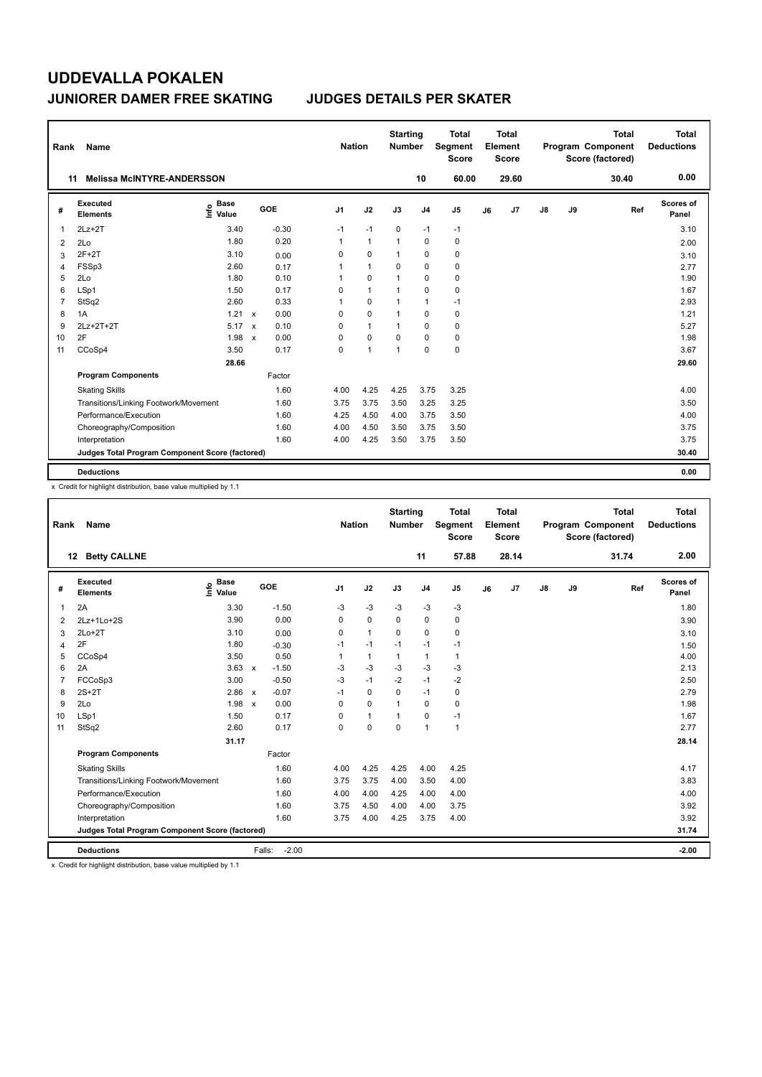| Rank           | Name                                            |                              |                           |         |                | <b>Nation</b>  | <b>Starting</b><br>Number |                | <b>Total</b><br>Segment<br><b>Score</b> |    | <b>Total</b><br>Element<br><b>Score</b> |    |    | <b>Total</b><br>Program Component<br>Score (factored) | Total<br><b>Deductions</b> |
|----------------|-------------------------------------------------|------------------------------|---------------------------|---------|----------------|----------------|---------------------------|----------------|-----------------------------------------|----|-----------------------------------------|----|----|-------------------------------------------------------|----------------------------|
| 11             | <b>Melissa McINTYRE-ANDERSSON</b>               |                              |                           |         |                |                |                           | 10             | 60.00                                   |    | 29.60                                   |    |    | 30.40                                                 | 0.00                       |
| #              | Executed<br><b>Elements</b>                     | <b>Base</b><br>١nfo<br>Value |                           | GOE     | J <sub>1</sub> | J2             | J3                        | J <sub>4</sub> | J <sub>5</sub>                          | J6 | J7                                      | J8 | J9 | Ref                                                   | Scores of<br>Panel         |
| 1              | $2Lz+2T$                                        | 3.40                         |                           | $-0.30$ | $-1$           | $-1$           | 0                         | $-1$           | $-1$                                    |    |                                         |    |    |                                                       | 3.10                       |
| 2              | 2Lo                                             | 1.80                         |                           | 0.20    | 1              | $\overline{1}$ | -1                        | $\mathbf 0$    | 0                                       |    |                                         |    |    |                                                       | 2.00                       |
| 3              | $2F+2T$                                         | 3.10                         |                           | 0.00    | 0              | 0              | $\mathbf{1}$              | 0              | 0                                       |    |                                         |    |    |                                                       | 3.10                       |
| $\overline{4}$ | FSSp3                                           | 2.60                         |                           | 0.17    | 1              | $\mathbf{1}$   | $\Omega$                  | $\mathbf 0$    | 0                                       |    |                                         |    |    |                                                       | 2.77                       |
| 5              | 2Lo                                             | 1.80                         |                           | 0.10    | 1              | 0              | 1                         | 0              | 0                                       |    |                                         |    |    |                                                       | 1.90                       |
| 6              | LSp1                                            | 1.50                         |                           | 0.17    | 0              | $\overline{1}$ | $\overline{1}$            | $\mathbf 0$    | $\mathbf 0$                             |    |                                         |    |    |                                                       | 1.67                       |
| $\overline{7}$ | StSq2                                           | 2.60                         |                           | 0.33    | 1              | 0              | $\overline{1}$            | $\mathbf{1}$   | $-1$                                    |    |                                         |    |    |                                                       | 2.93                       |
| 8              | 1A                                              | 1.21                         | $\mathbf{x}$              | 0.00    | 0              | $\Omega$       | $\overline{1}$            | $\Omega$       | 0                                       |    |                                         |    |    |                                                       | 1.21                       |
| 9              | 2Lz+2T+2T                                       | 5.17                         | $\mathbf{x}$              | 0.10    | 0              | $\mathbf{1}$   | $\overline{1}$            | 0              | 0                                       |    |                                         |    |    |                                                       | 5.27                       |
| 10             | 2F                                              | 1.98                         | $\boldsymbol{\mathsf{x}}$ | 0.00    | 0              | 0              | 0                         | 0              | 0                                       |    |                                         |    |    |                                                       | 1.98                       |
| 11             | CCoSp4                                          | 3.50                         |                           | 0.17    | 0              | $\overline{1}$ | $\overline{1}$            | $\mathbf 0$    | $\mathbf 0$                             |    |                                         |    |    |                                                       | 3.67                       |
|                |                                                 | 28.66                        |                           |         |                |                |                           |                |                                         |    |                                         |    |    |                                                       | 29.60                      |
|                | <b>Program Components</b>                       |                              |                           | Factor  |                |                |                           |                |                                         |    |                                         |    |    |                                                       |                            |
|                | <b>Skating Skills</b>                           |                              |                           | 1.60    | 4.00           | 4.25           | 4.25                      | 3.75           | 3.25                                    |    |                                         |    |    |                                                       | 4.00                       |
|                | Transitions/Linking Footwork/Movement           |                              |                           | 1.60    | 3.75           | 3.75           | 3.50                      | 3.25           | 3.25                                    |    |                                         |    |    |                                                       | 3.50                       |
|                | Performance/Execution                           |                              |                           | 1.60    | 4.25           | 4.50           | 4.00                      | 3.75           | 3.50                                    |    |                                         |    |    |                                                       | 4.00                       |
|                | Choreography/Composition                        |                              |                           | 1.60    | 4.00           | 4.50           | 3.50                      | 3.75           | 3.50                                    |    |                                         |    |    |                                                       | 3.75                       |
|                | Interpretation                                  |                              |                           | 1.60    | 4.00           | 4.25           | 3.50                      | 3.75           | 3.50                                    |    |                                         |    |    |                                                       | 3.75                       |
|                | Judges Total Program Component Score (factored) |                              |                           |         |                |                |                           |                |                                         |    |                                         |    |    |                                                       | 30.40                      |
|                | <b>Deductions</b>                               |                              |                           |         |                |                |                           |                |                                         |    |                                         |    |    |                                                       | 0.00                       |

x Credit for highlight distribution, base value multiplied by 1.1

| Rank           | Name                                            |                                  |                      | <b>Nation</b>  |              | <b>Starting</b><br><b>Number</b> |                | <b>Total</b><br>Segment<br><b>Score</b> |    | <b>Total</b><br>Element<br>Score |               |    | <b>Total</b><br>Program Component<br>Score (factored) | <b>Total</b><br><b>Deductions</b> |
|----------------|-------------------------------------------------|----------------------------------|----------------------|----------------|--------------|----------------------------------|----------------|-----------------------------------------|----|----------------------------------|---------------|----|-------------------------------------------------------|-----------------------------------|
|                | 12 Betty CALLNE                                 |                                  |                      |                |              |                                  | 11             | 57.88                                   |    | 28.14                            |               |    | 31.74                                                 | 2.00                              |
| #              | Executed<br><b>Elements</b>                     | <b>Base</b><br>e Base<br>⊆ Value | GOE                  | J <sub>1</sub> | J2           | J3                               | J <sub>4</sub> | J5                                      | J6 | J7                               | $\mathsf{J}8$ | J9 | Ref                                                   | Scores of<br>Panel                |
| 1              | 2A                                              | 3.30                             | $-1.50$              | $-3$           | $-3$         | $-3$                             | $-3$           | $-3$                                    |    |                                  |               |    |                                                       | 1.80                              |
| 2              | 2Lz+1Lo+2S                                      | 3.90                             | 0.00                 | 0              | 0            | $\mathbf 0$                      | 0              | 0                                       |    |                                  |               |    |                                                       | 3.90                              |
| 3              | $2Lo+2T$                                        | 3.10                             | 0.00                 | 0              | $\mathbf{1}$ | $\Omega$                         | 0              | 0                                       |    |                                  |               |    |                                                       | 3.10                              |
| 4              | 2F                                              | 1.80                             | $-0.30$              | $-1$           | $-1$         | $-1$                             | $-1$           | $-1$                                    |    |                                  |               |    |                                                       | 1.50                              |
| 5              | CCoSp4                                          | 3.50                             | 0.50                 | 1              | 1            | $\mathbf{1}$                     | 1              | $\mathbf{1}$                            |    |                                  |               |    |                                                       | 4.00                              |
| 6              | 2A                                              | $3.63 \times$                    | $-1.50$              | $-3$           | $-3$         | $-3$                             | $-3$           | $-3$                                    |    |                                  |               |    |                                                       | 2.13                              |
| $\overline{7}$ | FCCoSp3                                         | 3.00                             | $-0.50$              | $-3$           | $-1$         | $-2$                             | $-1$           | $-2$                                    |    |                                  |               |    |                                                       | 2.50                              |
| 8              | $2S+2T$                                         | 2.86 x                           | $-0.07$              | $-1$           | 0            | $\Omega$                         | $-1$           | 0                                       |    |                                  |               |    |                                                       | 2.79                              |
| 9              | 2Lo                                             | 1.98                             | 0.00<br>$\mathsf{x}$ | 0              | 0            | $\mathbf{1}$                     | 0              | 0                                       |    |                                  |               |    |                                                       | 1.98                              |
| 10             | LSp1                                            | 1.50                             | 0.17                 | $\Omega$       | $\mathbf{1}$ | $\mathbf{1}$                     | 0              | $-1$                                    |    |                                  |               |    |                                                       | 1.67                              |
| 11             | StSq2                                           | 2.60                             | 0.17                 | $\Omega$       | $\Omega$     | $\Omega$                         | $\mathbf{1}$   | $\mathbf{1}$                            |    |                                  |               |    |                                                       | 2.77                              |
|                |                                                 | 31.17                            |                      |                |              |                                  |                |                                         |    |                                  |               |    |                                                       | 28.14                             |
|                | <b>Program Components</b>                       |                                  | Factor               |                |              |                                  |                |                                         |    |                                  |               |    |                                                       |                                   |
|                | <b>Skating Skills</b>                           |                                  | 1.60                 | 4.00           | 4.25         | 4.25                             | 4.00           | 4.25                                    |    |                                  |               |    |                                                       | 4.17                              |
|                | Transitions/Linking Footwork/Movement           |                                  | 1.60                 | 3.75           | 3.75         | 4.00                             | 3.50           | 4.00                                    |    |                                  |               |    |                                                       | 3.83                              |
|                | Performance/Execution                           |                                  | 1.60                 | 4.00           | 4.00         | 4.25                             | 4.00           | 4.00                                    |    |                                  |               |    |                                                       | 4.00                              |
|                | Choreography/Composition                        |                                  | 1.60                 | 3.75           | 4.50         | 4.00                             | 4.00           | 3.75                                    |    |                                  |               |    |                                                       | 3.92                              |
|                | Interpretation                                  |                                  | 1.60                 | 3.75           | 4.00         | 4.25                             | 3.75           | 4.00                                    |    |                                  |               |    |                                                       | 3.92                              |
|                | Judges Total Program Component Score (factored) |                                  |                      |                |              |                                  |                |                                         |    |                                  |               |    |                                                       | 31.74                             |
|                | <b>Deductions</b>                               |                                  | $-2.00$<br>Falls:    |                |              |                                  |                |                                         |    |                                  |               |    |                                                       | $-2.00$                           |

x Credit for highlight distribution, base value multiplied by 1.1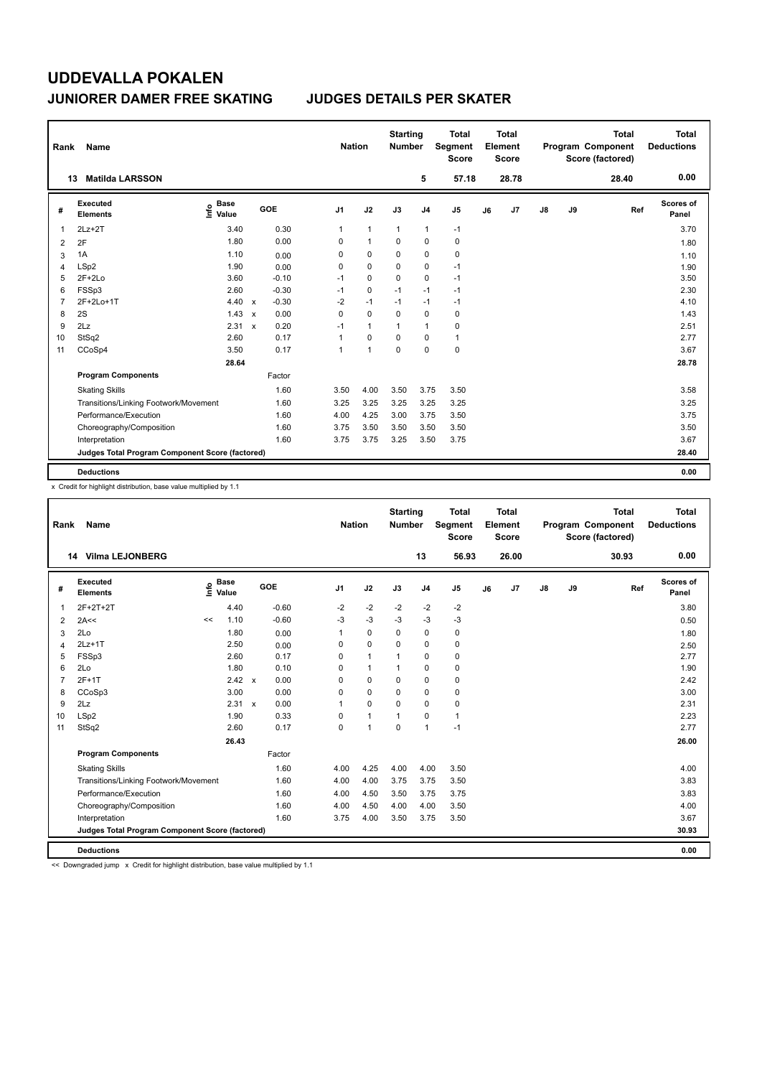| Rank           | Name                                            |                              |              |         |                | <b>Nation</b> |                | <b>Starting</b><br><b>Number</b> |                | Total<br>Segment<br><b>Score</b> |    | <b>Total</b><br>Element<br><b>Score</b> |               |    | <b>Total</b><br>Program Component<br>Score (factored) | <b>Total</b><br><b>Deductions</b> |
|----------------|-------------------------------------------------|------------------------------|--------------|---------|----------------|---------------|----------------|----------------------------------|----------------|----------------------------------|----|-----------------------------------------|---------------|----|-------------------------------------------------------|-----------------------------------|
|                | <b>Matilda LARSSON</b><br>13                    |                              |              |         |                |               |                |                                  | 5              | 57.18                            |    | 28.78                                   |               |    | 28.40                                                 | 0.00                              |
| #              | Executed<br><b>Elements</b>                     | <b>Base</b><br>١nfo<br>Value |              | GOE     | J <sub>1</sub> |               | J2             | J3                               | J <sub>4</sub> | J <sub>5</sub>                   | J6 | J7                                      | $\mathsf{J}8$ | J9 | Ref                                                   | Scores of<br>Panel                |
| 1              | $2Lz+2T$                                        | 3.40                         |              | 0.30    | 1              |               | $\mathbf{1}$   | $\mathbf{1}$                     | $\mathbf{1}$   | $-1$                             |    |                                         |               |    |                                                       | 3.70                              |
| 2              | 2F                                              | 1.80                         |              | 0.00    |                | 0             | $\overline{1}$ | $\Omega$                         | $\mathbf 0$    | 0                                |    |                                         |               |    |                                                       | 1.80                              |
| 3              | 1A                                              | 1.10                         |              | 0.00    |                | 0             | 0              | 0                                | $\pmb{0}$      | 0                                |    |                                         |               |    |                                                       | 1.10                              |
| 4              | LSp2                                            | 1.90                         |              | 0.00    |                | 0             | $\Omega$       | $\Omega$                         | $\pmb{0}$      | $-1$                             |    |                                         |               |    |                                                       | 1.90                              |
| 5              | $2F+2Lo$                                        | 3.60                         |              | $-0.10$ |                | $-1$          | 0              | 0                                | $\mathbf 0$    | $-1$                             |    |                                         |               |    |                                                       | 3.50                              |
| 6              | FSSp3                                           | 2.60                         |              | $-0.30$ |                | $-1$          | $\mathbf 0$    | $-1$                             | $-1$           | $-1$                             |    |                                         |               |    |                                                       | 2.30                              |
| $\overline{7}$ | 2F+2Lo+1T                                       | 4.40                         | $\mathsf{x}$ | $-0.30$ |                | $-2$          | $-1$           | $-1$                             | $-1$           | $-1$                             |    |                                         |               |    |                                                       | 4.10                              |
| 8              | 2S                                              | 1.43                         | $\mathbf{x}$ | 0.00    |                | 0             | $\Omega$       | $\Omega$                         | $\mathbf 0$    | 0                                |    |                                         |               |    |                                                       | 1.43                              |
| 9              | 2Lz                                             | 2.31                         | $\mathbf{x}$ | 0.20    |                | $-1$          | $\mathbf{1}$   | $\mathbf{1}$                     | $\mathbf{1}$   | 0                                |    |                                         |               |    |                                                       | 2.51                              |
| 10             | StSq2                                           | 2.60                         |              | 0.17    | 1              |               | $\mathbf 0$    | $\Omega$                         | 0              | $\mathbf{1}$                     |    |                                         |               |    |                                                       | 2.77                              |
| 11             | CCoSp4                                          | 3.50                         |              | 0.17    | $\mathbf{1}$   |               | $\overline{1}$ | $\Omega$                         | $\mathbf 0$    | $\mathbf 0$                      |    |                                         |               |    |                                                       | 3.67                              |
|                |                                                 | 28.64                        |              |         |                |               |                |                                  |                |                                  |    |                                         |               |    |                                                       | 28.78                             |
|                | <b>Program Components</b>                       |                              |              | Factor  |                |               |                |                                  |                |                                  |    |                                         |               |    |                                                       |                                   |
|                | <b>Skating Skills</b>                           |                              |              | 1.60    |                | 3.50          | 4.00           | 3.50                             | 3.75           | 3.50                             |    |                                         |               |    |                                                       | 3.58                              |
|                | Transitions/Linking Footwork/Movement           |                              |              | 1.60    |                | 3.25          | 3.25           | 3.25                             | 3.25           | 3.25                             |    |                                         |               |    |                                                       | 3.25                              |
|                | Performance/Execution                           |                              |              | 1.60    |                | 4.00          | 4.25           | 3.00                             | 3.75           | 3.50                             |    |                                         |               |    |                                                       | 3.75                              |
|                | Choreography/Composition                        |                              |              | 1.60    |                | 3.75          | 3.50           | 3.50                             | 3.50           | 3.50                             |    |                                         |               |    |                                                       | 3.50                              |
|                | Interpretation                                  |                              |              | 1.60    |                | 3.75          | 3.75           | 3.25                             | 3.50           | 3.75                             |    |                                         |               |    |                                                       | 3.67                              |
|                | Judges Total Program Component Score (factored) |                              |              |         |                |               |                |                                  |                |                                  |    |                                         |               |    |                                                       | 28.40                             |
|                | <b>Deductions</b>                               |                              |              |         |                |               |                |                                  |                |                                  |    |                                         |               |    |                                                       | 0.00                              |

x Credit for highlight distribution, base value multiplied by 1.1

| Rank           | <b>Name</b>                                     |    |                                  |            |         | <b>Nation</b>  |                | <b>Starting</b><br><b>Number</b> |                | <b>Total</b><br>Segment<br><b>Score</b> |    | <b>Total</b><br>Element<br><b>Score</b> |               |    | <b>Total</b><br>Program Component<br>Score (factored) |     | <b>Total</b><br><b>Deductions</b> |
|----------------|-------------------------------------------------|----|----------------------------------|------------|---------|----------------|----------------|----------------------------------|----------------|-----------------------------------------|----|-----------------------------------------|---------------|----|-------------------------------------------------------|-----|-----------------------------------|
|                | <b>Vilma LEJONBERG</b><br>14                    |    |                                  |            |         |                |                |                                  | 13             | 56.93                                   |    | 26.00                                   |               |    | 30.93                                                 |     | 0.00                              |
| #              | Executed<br><b>Elements</b>                     |    | <b>Base</b><br>o Base<br>⊆ Value | <b>GOE</b> |         | J <sub>1</sub> | J2             | J3                               | J <sub>4</sub> | J5                                      | J6 | J7                                      | $\mathsf{J}8$ | J9 |                                                       | Ref | Scores of<br>Panel                |
| 1              | 2F+2T+2T                                        |    | 4.40                             |            | $-0.60$ | $-2$           | $-2$           | $-2$                             | $-2$           | $-2$                                    |    |                                         |               |    |                                                       |     | 3.80                              |
| 2              | 2A<<                                            | << | 1.10                             |            | $-0.60$ | $-3$           | $-3$           | $-3$                             | $-3$           | $-3$                                    |    |                                         |               |    |                                                       |     | 0.50                              |
| 3              | 2Lo                                             |    | 1.80                             |            | 0.00    | 1              | $\mathbf 0$    | $\Omega$                         | 0              | 0                                       |    |                                         |               |    |                                                       |     | 1.80                              |
| $\overline{4}$ | $2Lz+1T$                                        |    | 2.50                             |            | 0.00    | 0              | 0              | 0                                | 0              | 0                                       |    |                                         |               |    |                                                       |     | 2.50                              |
| 5              | FSSp3                                           |    | 2.60                             |            | 0.17    | $\Omega$       | $\mathbf{1}$   |                                  | 0              | 0                                       |    |                                         |               |    |                                                       |     | 2.77                              |
| 6              | 2Lo                                             |    | 1.80                             |            | 0.10    | $\Omega$       | $\mathbf{1}$   |                                  | 0              | 0                                       |    |                                         |               |    |                                                       |     | 1.90                              |
| 7              | $2F+1T$                                         |    | 2.42 x                           |            | 0.00    | $\Omega$       | $\Omega$       | $\Omega$                         | 0              | 0                                       |    |                                         |               |    |                                                       |     | 2.42                              |
| 8              | CCoSp3                                          |    | 3.00                             |            | 0.00    | 0              | 0              | 0                                | 0              | 0                                       |    |                                         |               |    |                                                       |     | 3.00                              |
| 9              | 2Lz                                             |    | $2.31 \times$                    |            | 0.00    | 1              | $\mathbf 0$    | $\Omega$                         | 0              | 0                                       |    |                                         |               |    |                                                       |     | 2.31                              |
| 10             | LSp2                                            |    | 1.90                             |            | 0.33    | 0              | $\mathbf{1}$   | 1                                | 0              | 1                                       |    |                                         |               |    |                                                       |     | 2.23                              |
| 11             | StSq2                                           |    | 2.60                             |            | 0.17    | $\Omega$       | $\overline{1}$ | $\Omega$                         | $\mathbf{1}$   | $-1$                                    |    |                                         |               |    |                                                       |     | 2.77                              |
|                |                                                 |    | 26.43                            |            |         |                |                |                                  |                |                                         |    |                                         |               |    |                                                       |     | 26.00                             |
|                | <b>Program Components</b>                       |    |                                  |            | Factor  |                |                |                                  |                |                                         |    |                                         |               |    |                                                       |     |                                   |
|                | <b>Skating Skills</b>                           |    |                                  |            | 1.60    | 4.00           | 4.25           | 4.00                             | 4.00           | 3.50                                    |    |                                         |               |    |                                                       |     | 4.00                              |
|                | Transitions/Linking Footwork/Movement           |    |                                  |            | 1.60    | 4.00           | 4.00           | 3.75                             | 3.75           | 3.50                                    |    |                                         |               |    |                                                       |     | 3.83                              |
|                | Performance/Execution                           |    |                                  |            | 1.60    | 4.00           | 4.50           | 3.50                             | 3.75           | 3.75                                    |    |                                         |               |    |                                                       |     | 3.83                              |
|                | Choreography/Composition                        |    |                                  |            | 1.60    | 4.00           | 4.50           | 4.00                             | 4.00           | 3.50                                    |    |                                         |               |    |                                                       |     | 4.00                              |
|                | Interpretation                                  |    |                                  |            | 1.60    | 3.75           | 4.00           | 3.50                             | 3.75           | 3.50                                    |    |                                         |               |    |                                                       |     | 3.67                              |
|                | Judges Total Program Component Score (factored) |    |                                  |            |         |                |                |                                  |                |                                         |    |                                         |               |    |                                                       |     | 30.93                             |
|                | <b>Deductions</b>                               |    |                                  |            |         |                |                |                                  |                |                                         |    |                                         |               |    |                                                       |     | 0.00                              |

<< Downgraded jump x Credit for highlight distribution, base value multiplied by 1.1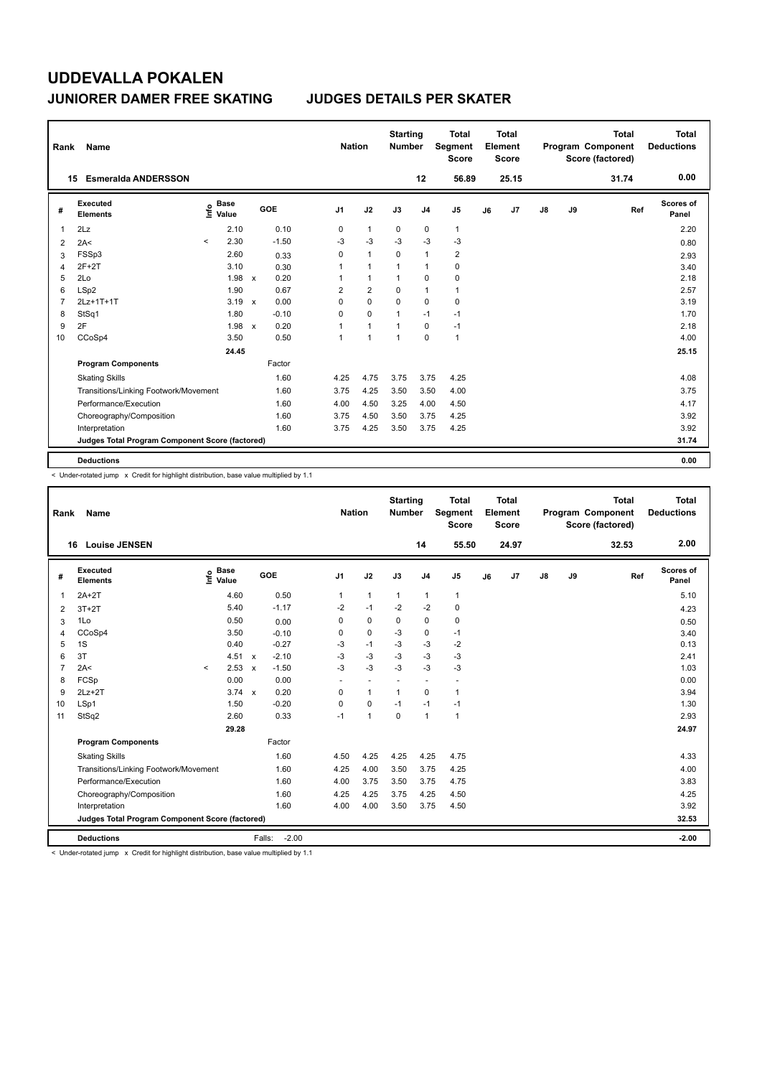| Rank           | Name                                            |          |                      |                           |         | <b>Nation</b>  |                | <b>Starting</b><br><b>Number</b> |                | <b>Total</b><br>Segment<br><b>Score</b> |    | <b>Total</b><br>Element<br><b>Score</b> |               |    | <b>Total</b><br>Program Component<br>Score (factored) | <b>Total</b><br><b>Deductions</b> |
|----------------|-------------------------------------------------|----------|----------------------|---------------------------|---------|----------------|----------------|----------------------------------|----------------|-----------------------------------------|----|-----------------------------------------|---------------|----|-------------------------------------------------------|-----------------------------------|
|                | <b>Esmeralda ANDERSSON</b><br>15                |          |                      |                           |         |                |                |                                  | 12             | 56.89                                   |    | 25.15                                   |               |    | 31.74                                                 | 0.00                              |
| #              | Executed<br><b>Elements</b>                     | lnfo     | <b>Base</b><br>Value |                           | GOE     | J <sub>1</sub> | J2             | J3                               | J <sub>4</sub> | J <sub>5</sub>                          | J6 | J7                                      | $\mathsf{J}8$ | J9 | Ref                                                   | Scores of<br>Panel                |
| 1              | 2Lz                                             |          | 2.10                 |                           | 0.10    | 0              | $\mathbf{1}$   | 0                                | $\mathbf 0$    | $\mathbf{1}$                            |    |                                         |               |    |                                                       | 2.20                              |
| $\overline{2}$ | 2A<                                             | $\hat{}$ | 2.30                 |                           | $-1.50$ | $-3$           | $-3$           | $-3$                             | $-3$           | $-3$                                    |    |                                         |               |    |                                                       | 0.80                              |
| 3              | FSSp3                                           |          | 2.60                 |                           | 0.33    | 0              | $\mathbf{1}$   | $\Omega$                         | $\mathbf{1}$   | $\overline{2}$                          |    |                                         |               |    |                                                       | 2.93                              |
| 4              | $2F+2T$                                         |          | 3.10                 |                           | 0.30    | 1              | $\overline{1}$ | $\overline{1}$                   | $\mathbf{1}$   | $\mathbf 0$                             |    |                                         |               |    |                                                       | 3.40                              |
| 5              | 2Lo                                             |          | 1.98                 | $\mathsf{x}$              | 0.20    |                | $\overline{1}$ | $\overline{1}$                   | $\mathbf 0$    | $\mathbf 0$                             |    |                                         |               |    |                                                       | 2.18                              |
| 6              | LSp2                                            |          | 1.90                 |                           | 0.67    | $\overline{2}$ | $\overline{2}$ | $\Omega$                         | $\mathbf{1}$   | $\mathbf{1}$                            |    |                                         |               |    |                                                       | 2.57                              |
| $\overline{7}$ | 2Lz+1T+1T                                       |          | 3.19                 | $\boldsymbol{\mathsf{x}}$ | 0.00    | 0              | $\mathbf 0$    | $\mathbf 0$                      | $\mathbf 0$    | 0                                       |    |                                         |               |    |                                                       | 3.19                              |
| 8              | StSq1                                           |          | 1.80                 |                           | $-0.10$ | 0              | $\Omega$       | $\overline{1}$                   | $-1$           | $-1$                                    |    |                                         |               |    |                                                       | 1.70                              |
| 9              | 2F                                              |          | 1.98                 | $\mathsf{x}$              | 0.20    | 1              | $\mathbf{1}$   | 1                                | $\mathbf 0$    | $-1$                                    |    |                                         |               |    |                                                       | 2.18                              |
| 10             | CCoSp4                                          |          | 3.50                 |                           | 0.50    | 1              | $\overline{1}$ | $\overline{1}$                   | $\Omega$       | $\mathbf{1}$                            |    |                                         |               |    |                                                       | 4.00                              |
|                |                                                 |          | 24.45                |                           |         |                |                |                                  |                |                                         |    |                                         |               |    |                                                       | 25.15                             |
|                | <b>Program Components</b>                       |          |                      |                           | Factor  |                |                |                                  |                |                                         |    |                                         |               |    |                                                       |                                   |
|                | <b>Skating Skills</b>                           |          |                      |                           | 1.60    | 4.25           | 4.75           | 3.75                             | 3.75           | 4.25                                    |    |                                         |               |    |                                                       | 4.08                              |
|                | Transitions/Linking Footwork/Movement           |          |                      |                           | 1.60    | 3.75           | 4.25           | 3.50                             | 3.50           | 4.00                                    |    |                                         |               |    |                                                       | 3.75                              |
|                | Performance/Execution                           |          |                      |                           | 1.60    | 4.00           | 4.50           | 3.25                             | 4.00           | 4.50                                    |    |                                         |               |    |                                                       | 4.17                              |
|                | Choreography/Composition                        |          |                      |                           | 1.60    | 3.75           | 4.50           | 3.50                             | 3.75           | 4.25                                    |    |                                         |               |    |                                                       | 3.92                              |
|                | Interpretation                                  |          |                      |                           | 1.60    | 3.75           | 4.25           | 3.50                             | 3.75           | 4.25                                    |    |                                         |               |    |                                                       | 3.92                              |
|                | Judges Total Program Component Score (factored) |          |                      |                           |         |                |                |                                  |                |                                         |    |                                         |               |    |                                                       | 31.74                             |
|                | <b>Deductions</b>                               |          |                      |                           |         |                |                |                                  |                |                                         |    |                                         |               |    |                                                       | 0.00                              |

< Under-rotated jump x Credit for highlight distribution, base value multiplied by 1.1

| Rank           | Name                                            |         |                                  |              |                   | <b>Nation</b>  |                          | <b>Starting</b><br><b>Number</b> |                          | <b>Total</b><br>Segment<br><b>Score</b> |    | <b>Total</b><br>Element<br><b>Score</b> |               |    | <b>Total</b><br>Program Component<br>Score (factored) | Total<br><b>Deductions</b> |
|----------------|-------------------------------------------------|---------|----------------------------------|--------------|-------------------|----------------|--------------------------|----------------------------------|--------------------------|-----------------------------------------|----|-----------------------------------------|---------------|----|-------------------------------------------------------|----------------------------|
|                | <b>Louise JENSEN</b><br>16                      |         |                                  |              |                   |                |                          |                                  | 14                       | 55.50                                   |    | 24.97                                   |               |    | 32.53                                                 | 2.00                       |
| #              | Executed<br><b>Elements</b>                     |         | <b>Base</b><br>e Base<br>⊑ Value |              | GOE               | J <sub>1</sub> | J2                       | J3                               | J <sub>4</sub>           | J5                                      | J6 | J7                                      | $\mathsf{J}8$ | J9 | Ref                                                   | Scores of<br>Panel         |
| $\mathbf{1}$   | $2A+2T$                                         |         | 4.60                             |              | 0.50              | 1              | $\mathbf{1}$             | $\mathbf{1}$                     | $\mathbf{1}$             | $\mathbf{1}$                            |    |                                         |               |    |                                                       | 5.10                       |
| 2              | $3T+2T$                                         |         | 5.40                             |              | $-1.17$           | $-2$           | $-1$                     | $-2$                             | $-2$                     | $\mathbf 0$                             |    |                                         |               |    |                                                       | 4.23                       |
| 3              | 1Lo                                             |         | 0.50                             |              | 0.00              | 0              | $\mathbf 0$              | $\Omega$                         | $\mathbf 0$              | 0                                       |    |                                         |               |    |                                                       | 0.50                       |
| $\overline{4}$ | CCoSp4                                          |         | 3.50                             |              | $-0.10$           | 0              | $\mathbf 0$              | $-3$                             | $\mathbf 0$              | $-1$                                    |    |                                         |               |    |                                                       | 3.40                       |
| 5              | 1S                                              |         | 0.40                             |              | $-0.27$           | $-3$           | $-1$                     | $-3$                             | $-3$                     | $-2$                                    |    |                                         |               |    |                                                       | 0.13                       |
| 6              | 3T                                              |         | 4.51                             | $\mathsf{x}$ | $-2.10$           | -3             | $-3$                     | $-3$                             | $-3$                     | $-3$                                    |    |                                         |               |    |                                                       | 2.41                       |
| $\overline{7}$ | 2A<                                             | $\prec$ | 2.53                             | $\mathsf{x}$ | $-1.50$           | $-3$           | $-3$                     | $-3$                             | $-3$                     | $-3$                                    |    |                                         |               |    |                                                       | 1.03                       |
| 8              | FCSp                                            |         | 0.00                             |              | 0.00              | ٠              | $\overline{\phantom{a}}$ | $\overline{\phantom{a}}$         | $\overline{\phantom{a}}$ | $\blacksquare$                          |    |                                         |               |    |                                                       | 0.00                       |
| 9              | $2Lz+2T$                                        |         | $3.74 \times$                    |              | 0.20              | $\mathbf 0$    | $\mathbf{1}$             | $\mathbf{1}$                     | $\mathbf 0$              | $\mathbf{1}$                            |    |                                         |               |    |                                                       | 3.94                       |
| 10             | LSp1                                            |         | 1.50                             |              | $-0.20$           | $\Omega$       | $\mathbf 0$              | $-1$                             | $-1$                     | $-1$                                    |    |                                         |               |    |                                                       | 1.30                       |
| 11             | StSq2                                           |         | 2.60                             |              | 0.33              | $-1$           | $\mathbf{1}$             | $\Omega$                         | $\mathbf{1}$             | $\mathbf{1}$                            |    |                                         |               |    |                                                       | 2.93                       |
|                |                                                 |         | 29.28                            |              |                   |                |                          |                                  |                          |                                         |    |                                         |               |    |                                                       | 24.97                      |
|                | <b>Program Components</b>                       |         |                                  |              | Factor            |                |                          |                                  |                          |                                         |    |                                         |               |    |                                                       |                            |
|                | <b>Skating Skills</b>                           |         |                                  |              | 1.60              | 4.50           | 4.25                     | 4.25                             | 4.25                     | 4.75                                    |    |                                         |               |    |                                                       | 4.33                       |
|                | Transitions/Linking Footwork/Movement           |         |                                  |              | 1.60              | 4.25           | 4.00                     | 3.50                             | 3.75                     | 4.25                                    |    |                                         |               |    |                                                       | 4.00                       |
|                | Performance/Execution                           |         |                                  |              | 1.60              | 4.00           | 3.75                     | 3.50                             | 3.75                     | 4.75                                    |    |                                         |               |    |                                                       | 3.83                       |
|                | Choreography/Composition                        |         |                                  |              | 1.60              | 4.25           | 4.25                     | 3.75                             | 4.25                     | 4.50                                    |    |                                         |               |    |                                                       | 4.25                       |
|                | Interpretation                                  |         |                                  |              | 1.60              | 4.00           | 4.00                     | 3.50                             | 3.75                     | 4.50                                    |    |                                         |               |    |                                                       | 3.92                       |
|                | Judges Total Program Component Score (factored) |         |                                  |              |                   |                |                          |                                  |                          |                                         |    |                                         |               |    |                                                       | 32.53                      |
|                | <b>Deductions</b>                               |         |                                  |              | $-2.00$<br>Falls: |                |                          |                                  |                          |                                         |    |                                         |               |    |                                                       | $-2.00$                    |

< Under-rotated jump x Credit for highlight distribution, base value multiplied by 1.1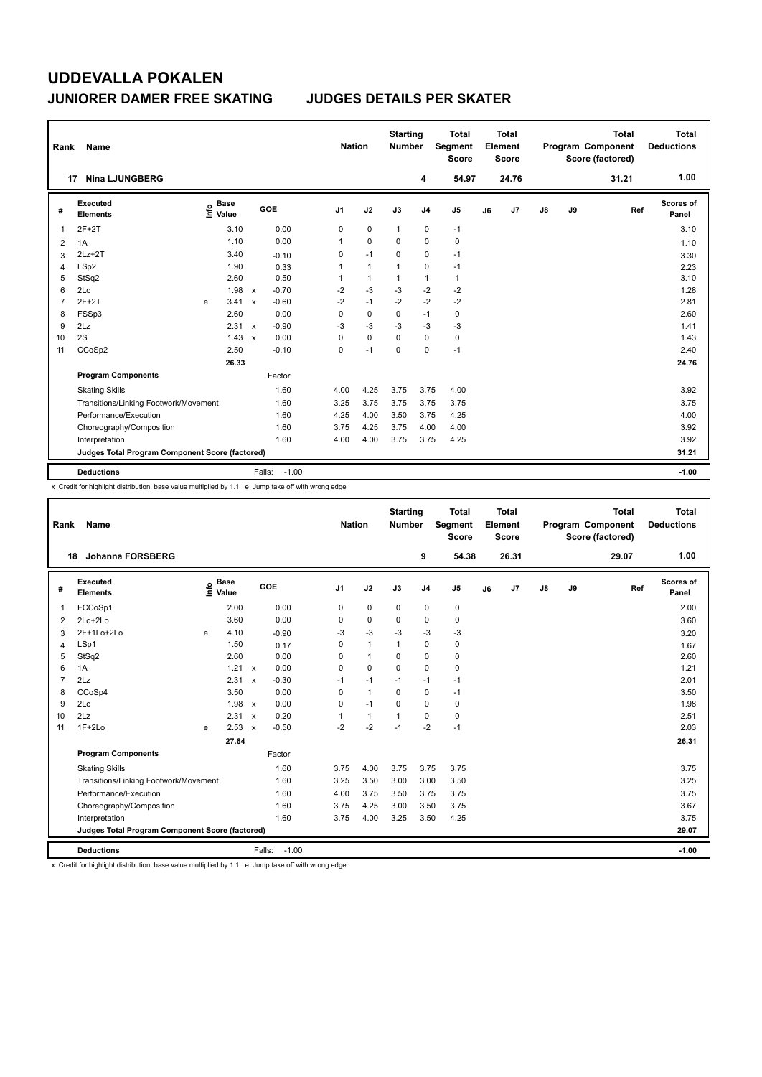| Rank           | Name                                            |                              |       |                         |                | <b>Nation</b> |              | <b>Starting</b><br><b>Number</b> |                | <b>Total</b><br>Segment<br><b>Score</b> |    | <b>Total</b><br>Element<br><b>Score</b> |               |    | <b>Total</b><br>Program Component<br>Score (factored) | <b>Total</b><br><b>Deductions</b> |
|----------------|-------------------------------------------------|------------------------------|-------|-------------------------|----------------|---------------|--------------|----------------------------------|----------------|-----------------------------------------|----|-----------------------------------------|---------------|----|-------------------------------------------------------|-----------------------------------|
|                | <b>Nina LJUNGBERG</b><br>17                     |                              |       |                         |                |               |              |                                  | 4              | 54.97                                   |    | 24.76                                   |               |    | 31.21                                                 | 1.00                              |
| #              | Executed<br><b>Elements</b>                     | <b>Base</b><br>١nf٥<br>Value |       | GOE                     | J <sub>1</sub> |               | J2           | J3                               | J <sub>4</sub> | J <sub>5</sub>                          | J6 | J <sub>7</sub>                          | $\mathsf{J}8$ | J9 | Ref                                                   | Scores of<br>Panel                |
| 1              | $2F+2T$                                         |                              | 3.10  | 0.00                    |                | 0             | $\mathbf 0$  | $\mathbf{1}$                     | $\pmb{0}$      | $-1$                                    |    |                                         |               |    |                                                       | 3.10                              |
| 2              | 1A                                              |                              | 1.10  | 0.00                    | 1              |               | $\Omega$     | $\Omega$                         | $\mathbf 0$    | $\pmb{0}$                               |    |                                         |               |    |                                                       | 1.10                              |
| 3              | $2Lz+2T$                                        |                              | 3.40  | $-0.10$                 |                | 0             | $-1$         | 0                                | $\mathbf 0$    | $-1$                                    |    |                                         |               |    |                                                       | 3.30                              |
| 4              | LSp2                                            |                              | 1.90  | 0.33                    | 1              |               | $\mathbf{1}$ | $\mathbf 1$                      | $\pmb{0}$      | $-1$                                    |    |                                         |               |    |                                                       | 2.23                              |
| 5              | StSq2                                           |                              | 2.60  | 0.50                    |                | 1             | $\mathbf{1}$ | 1                                | $\mathbf{1}$   | $\mathbf{1}$                            |    |                                         |               |    |                                                       | 3.10                              |
| 6              | 2Lo                                             |                              | 1.98  | $-0.70$<br>$\mathsf{x}$ | $-2$           |               | $-3$         | $-3$                             | $-2$           | $-2$                                    |    |                                         |               |    |                                                       | 1.28                              |
| $\overline{7}$ | $2F+2T$                                         | e                            | 3.41  | $-0.60$<br>$\mathsf{x}$ | $-2$           |               | $-1$         | $-2$                             | $-2$           | $-2$                                    |    |                                         |               |    |                                                       | 2.81                              |
| 8              | FSSp3                                           |                              | 2.60  | 0.00                    |                | 0             | 0            | 0                                | $-1$           | 0                                       |    |                                         |               |    |                                                       | 2.60                              |
| 9              | 2Lz                                             |                              | 2.31  | $-0.90$<br>$\mathsf{x}$ | -3             |               | $-3$         | $-3$                             | $-3$           | $-3$                                    |    |                                         |               |    |                                                       | 1.41                              |
| 10             | 2S                                              |                              | 1.43  | 0.00<br>$\mathsf{x}$    |                | 0             | $\mathbf 0$  | $\Omega$                         | 0              | 0                                       |    |                                         |               |    |                                                       | 1.43                              |
| 11             | CCoSp2                                          |                              | 2.50  | $-0.10$                 |                | 0             | $-1$         | 0                                | $\mathbf 0$    | $-1$                                    |    |                                         |               |    |                                                       | 2.40                              |
|                |                                                 |                              | 26.33 |                         |                |               |              |                                  |                |                                         |    |                                         |               |    |                                                       | 24.76                             |
|                | <b>Program Components</b>                       |                              |       | Factor                  |                |               |              |                                  |                |                                         |    |                                         |               |    |                                                       |                                   |
|                | <b>Skating Skills</b>                           |                              |       | 1.60                    |                | 4.00          | 4.25         | 3.75                             | 3.75           | 4.00                                    |    |                                         |               |    |                                                       | 3.92                              |
|                | Transitions/Linking Footwork/Movement           |                              |       | 1.60                    |                | 3.25          | 3.75         | 3.75                             | 3.75           | 3.75                                    |    |                                         |               |    |                                                       | 3.75                              |
|                | Performance/Execution                           |                              |       | 1.60                    |                | 4.25          | 4.00         | 3.50                             | 3.75           | 4.25                                    |    |                                         |               |    |                                                       | 4.00                              |
|                | Choreography/Composition                        |                              |       | 1.60                    |                | 3.75          | 4.25         | 3.75                             | 4.00           | 4.00                                    |    |                                         |               |    |                                                       | 3.92                              |
|                | Interpretation                                  |                              |       | 1.60                    |                | 4.00          | 4.00         | 3.75                             | 3.75           | 4.25                                    |    |                                         |               |    |                                                       | 3.92                              |
|                | Judges Total Program Component Score (factored) |                              |       |                         |                |               |              |                                  |                |                                         |    |                                         |               |    |                                                       | 31.21                             |
|                | <b>Deductions</b>                               |                              |       | Falls:                  | $-1.00$        |               |              |                                  |                |                                         |    |                                         |               |    |                                                       | $-1.00$                           |

x Credit for highlight distribution, base value multiplied by 1.1 e Jump take off with wrong edge

| Rank           | Name                                            |    |                      |                           |                   | <b>Nation</b>  |                | <b>Starting</b><br><b>Number</b> |                | Total<br>Segment<br><b>Score</b> |    | Total<br>Element<br><b>Score</b> |    |    | <b>Total</b><br>Program Component<br>Score (factored) | <b>Total</b><br><b>Deductions</b> |
|----------------|-------------------------------------------------|----|----------------------|---------------------------|-------------------|----------------|----------------|----------------------------------|----------------|----------------------------------|----|----------------------------------|----|----|-------------------------------------------------------|-----------------------------------|
| 18             | Johanna FORSBERG                                |    |                      |                           |                   |                |                |                                  | 9              | 54.38                            |    | 26.31                            |    |    | 29.07                                                 | 1.00                              |
| #              | Executed<br><b>Elements</b>                     | ۴٥ | <b>Base</b><br>Value |                           | GOE               | J <sub>1</sub> | J2             | J3                               | J <sub>4</sub> | J5                               | J6 | J7                               | J8 | J9 | Ref                                                   | Scores of<br>Panel                |
| 1              | FCCoSp1                                         |    | 2.00                 |                           | 0.00              | $\mathbf 0$    | $\mathbf 0$    | $\mathbf 0$                      | $\mathbf 0$    | $\mathbf 0$                      |    |                                  |    |    |                                                       | 2.00                              |
| $\overline{2}$ | 2Lo+2Lo                                         |    | 3.60                 |                           | 0.00              | 0              | $\mathbf 0$    | $\mathbf 0$                      | 0              | 0                                |    |                                  |    |    |                                                       | 3.60                              |
| 3              | 2F+1Lo+2Lo                                      | e  | 4.10                 |                           | $-0.90$           | $-3$           | $-3$           | -3                               | $-3$           | $-3$                             |    |                                  |    |    |                                                       | 3.20                              |
| 4              | LSp1                                            |    | 1.50                 |                           | 0.17              | 0              | $\mathbf{1}$   | 1                                | $\mathbf 0$    | $\mathbf 0$                      |    |                                  |    |    |                                                       | 1.67                              |
| 5              | StSq2                                           |    | 2.60                 |                           | 0.00              | 0              | $\overline{1}$ | $\Omega$                         | $\mathbf 0$    | $\mathbf 0$                      |    |                                  |    |    |                                                       | 2.60                              |
| 6              | 1A                                              |    | 1.21                 | $\boldsymbol{\mathsf{x}}$ | 0.00              | 0              | $\mathbf 0$    | $\mathbf 0$                      | $\Omega$       | 0                                |    |                                  |    |    |                                                       | 1.21                              |
| 7              | 2Lz                                             |    | 2.31                 | $\mathsf{x}$              | $-0.30$           | $-1$           | $-1$           | $-1$                             | $-1$           | $-1$                             |    |                                  |    |    |                                                       | 2.01                              |
| 8              | CCoSp4                                          |    | 3.50                 |                           | 0.00              | 0              | $\mathbf{1}$   | $\mathbf 0$                      | $\mathbf 0$    | $-1$                             |    |                                  |    |    |                                                       | 3.50                              |
| 9              | 2Lo                                             |    | 1.98                 | $\mathbf{x}$              | 0.00              | 0              | $-1$           | $\Omega$                         | $\Omega$       | $\mathbf 0$                      |    |                                  |    |    |                                                       | 1.98                              |
| 10             | 2Lz                                             |    | 2.31                 | $\mathsf{x}$              | 0.20              | 1              | $\mathbf{1}$   | 1                                | $\mathbf 0$    | 0                                |    |                                  |    |    |                                                       | 2.51                              |
| 11             | $1F+2Lo$                                        | e  | 2.53                 | $\boldsymbol{\mathsf{x}}$ | $-0.50$           | $-2$           | $-2$           | $-1$                             | $-2$           | $-1$                             |    |                                  |    |    |                                                       | 2.03                              |
|                |                                                 |    | 27.64                |                           |                   |                |                |                                  |                |                                  |    |                                  |    |    |                                                       | 26.31                             |
|                | <b>Program Components</b>                       |    |                      |                           | Factor            |                |                |                                  |                |                                  |    |                                  |    |    |                                                       |                                   |
|                | <b>Skating Skills</b>                           |    |                      |                           | 1.60              | 3.75           | 4.00           | 3.75                             | 3.75           | 3.75                             |    |                                  |    |    |                                                       | 3.75                              |
|                | Transitions/Linking Footwork/Movement           |    |                      |                           | 1.60              | 3.25           | 3.50           | 3.00                             | 3.00           | 3.50                             |    |                                  |    |    |                                                       | 3.25                              |
|                | Performance/Execution                           |    |                      |                           | 1.60              | 4.00           | 3.75           | 3.50                             | 3.75           | 3.75                             |    |                                  |    |    |                                                       | 3.75                              |
|                | Choreography/Composition                        |    |                      |                           | 1.60              | 3.75           | 4.25           | 3.00                             | 3.50           | 3.75                             |    |                                  |    |    |                                                       | 3.67                              |
|                | Interpretation                                  |    |                      |                           | 1.60              | 3.75           | 4.00           | 3.25                             | 3.50           | 4.25                             |    |                                  |    |    |                                                       | 3.75                              |
|                | Judges Total Program Component Score (factored) |    |                      |                           |                   |                |                |                                  |                |                                  |    |                                  |    |    |                                                       | 29.07                             |
|                | <b>Deductions</b>                               |    |                      |                           | $-1.00$<br>Falls: |                |                |                                  |                |                                  |    |                                  |    |    |                                                       | $-1.00$                           |

x Credit for highlight distribution, base value multiplied by 1.1 e Jump take off with wrong edge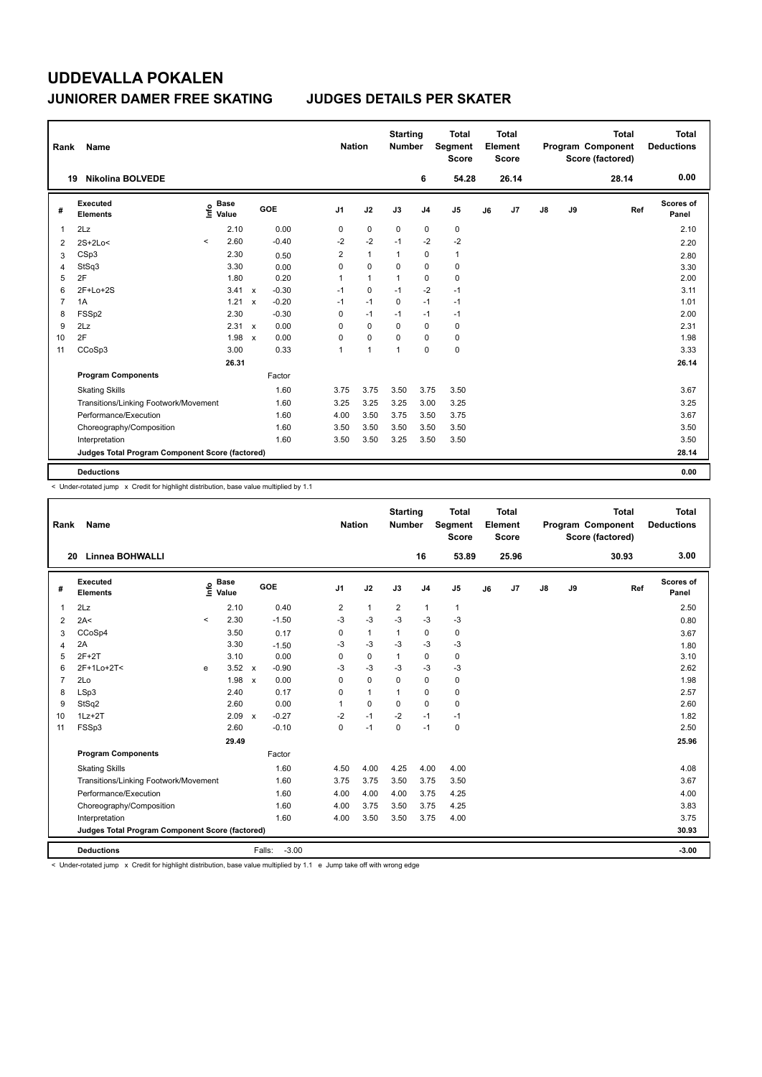| Rank           | Name                                            |          |                      |              |         | <b>Nation</b>  |                | <b>Starting</b><br><b>Number</b> |                | <b>Total</b><br>Segment<br><b>Score</b> |    | <b>Total</b><br>Element<br><b>Score</b> |               |    | <b>Total</b><br>Program Component<br>Score (factored) | <b>Total</b><br><b>Deductions</b> |
|----------------|-------------------------------------------------|----------|----------------------|--------------|---------|----------------|----------------|----------------------------------|----------------|-----------------------------------------|----|-----------------------------------------|---------------|----|-------------------------------------------------------|-----------------------------------|
|                | <b>Nikolina BOLVEDE</b><br>19                   |          |                      |              |         |                |                |                                  | 6              | 54.28                                   |    | 26.14                                   |               |    | 28.14                                                 | 0.00                              |
| #              | Executed<br><b>Elements</b>                     | ١nf٥     | <b>Base</b><br>Value |              | GOE     | J <sub>1</sub> | J2             | J3                               | J <sub>4</sub> | J <sub>5</sub>                          | J6 | J <sub>7</sub>                          | $\mathsf{J}8$ | J9 | Ref                                                   | Scores of<br>Panel                |
| 1              | 2Lz                                             |          | 2.10                 |              | 0.00    | 0              | $\mathbf 0$    | $\mathbf 0$                      | $\mathbf 0$    | $\pmb{0}$                               |    |                                         |               |    |                                                       | 2.10                              |
| 2              | $2S+2Lo<$                                       | $\hat{}$ | 2.60                 |              | $-0.40$ | $-2$           | $-2$           | $-1$                             | $-2$           | $-2$                                    |    |                                         |               |    |                                                       | 2.20                              |
| 3              | CSp3                                            |          | 2.30                 |              | 0.50    | $\overline{2}$ | $\mathbf{1}$   | $\mathbf{1}$                     | 0              | $\mathbf{1}$                            |    |                                         |               |    |                                                       | 2.80                              |
| 4              | StSq3                                           |          | 3.30                 |              | 0.00    | 0              | $\mathbf 0$    | $\Omega$                         | $\mathbf 0$    | $\pmb{0}$                               |    |                                         |               |    |                                                       | 3.30                              |
| 5              | 2F                                              |          | 1.80                 |              | 0.20    | 1              | $\mathbf{1}$   | $\mathbf{1}$                     | 0              | 0                                       |    |                                         |               |    |                                                       | 2.00                              |
| 6              | $2F+Lo+2S$                                      |          | 3.41                 | $\mathsf{x}$ | $-0.30$ | $-1$           | $\mathbf 0$    | $-1$                             | $-2$           | $-1$                                    |    |                                         |               |    |                                                       | 3.11                              |
| $\overline{7}$ | 1A                                              |          | 1.21                 | $\mathbf x$  | $-0.20$ | $-1$           | $-1$           | $\Omega$                         | $-1$           | $-1$                                    |    |                                         |               |    |                                                       | 1.01                              |
| 8              | FSSp2                                           |          | 2.30                 |              | $-0.30$ | 0              | $-1$           | $-1$                             | $-1$           | $-1$                                    |    |                                         |               |    |                                                       | 2.00                              |
| 9              | 2Lz                                             |          | 2.31                 | $\mathsf{x}$ | 0.00    | 0              | 0              | 0                                | 0              | 0                                       |    |                                         |               |    |                                                       | 2.31                              |
| 10             | 2F                                              |          | 1.98                 | $\mathbf x$  | 0.00    | 0              | $\mathbf 0$    | 0                                | $\Omega$       | 0                                       |    |                                         |               |    |                                                       | 1.98                              |
| 11             | CCoSp3                                          |          | 3.00                 |              | 0.33    | 1              | $\overline{1}$ | 1                                | $\mathbf 0$    | $\pmb{0}$                               |    |                                         |               |    |                                                       | 3.33                              |
|                |                                                 |          | 26.31                |              |         |                |                |                                  |                |                                         |    |                                         |               |    |                                                       | 26.14                             |
|                | <b>Program Components</b>                       |          |                      |              | Factor  |                |                |                                  |                |                                         |    |                                         |               |    |                                                       |                                   |
|                | <b>Skating Skills</b>                           |          |                      |              | 1.60    | 3.75           | 3.75           | 3.50                             | 3.75           | 3.50                                    |    |                                         |               |    |                                                       | 3.67                              |
|                | Transitions/Linking Footwork/Movement           |          |                      |              | 1.60    | 3.25           | 3.25           | 3.25                             | 3.00           | 3.25                                    |    |                                         |               |    |                                                       | 3.25                              |
|                | Performance/Execution                           |          |                      |              | 1.60    | 4.00           | 3.50           | 3.75                             | 3.50           | 3.75                                    |    |                                         |               |    |                                                       | 3.67                              |
|                | Choreography/Composition                        |          |                      |              | 1.60    | 3.50           | 3.50           | 3.50                             | 3.50           | 3.50                                    |    |                                         |               |    |                                                       | 3.50                              |
|                | Interpretation                                  |          |                      |              | 1.60    | 3.50           | 3.50           | 3.25                             | 3.50           | 3.50                                    |    |                                         |               |    |                                                       | 3.50                              |
|                | Judges Total Program Component Score (factored) |          |                      |              |         |                |                |                                  |                |                                         |    |                                         |               |    |                                                       | 28.14                             |
|                | <b>Deductions</b>                               |          |                      |              |         |                |                |                                  |                |                                         |    |                                         |               |    |                                                       | 0.00                              |

< Under-rotated jump x Credit for highlight distribution, base value multiplied by 1.1

| Rank           | Name                                            |         |                      |              |                   | <b>Nation</b>  |              | <b>Starting</b><br><b>Number</b> |                | <b>Total</b><br>Segment<br><b>Score</b> |    | <b>Total</b><br>Element<br><b>Score</b> |    |    | <b>Total</b><br>Program Component<br>Score (factored) |     | <b>Total</b><br><b>Deductions</b> |
|----------------|-------------------------------------------------|---------|----------------------|--------------|-------------------|----------------|--------------|----------------------------------|----------------|-----------------------------------------|----|-----------------------------------------|----|----|-------------------------------------------------------|-----|-----------------------------------|
| 20             | <b>Linnea BOHWALLI</b>                          |         |                      |              |                   |                |              |                                  | 16             | 53.89                                   |    | 25.96                                   |    |    | 30.93                                                 |     | 3.00                              |
| #              | Executed<br><b>Elements</b>                     | ١nfo    | <b>Base</b><br>Value |              | GOE               | J <sub>1</sub> | J2           | J3                               | J <sub>4</sub> | J5                                      | J6 | J7                                      | J8 | J9 |                                                       | Ref | Scores of<br>Panel                |
| 1              | 2Lz                                             |         | 2.10                 |              | 0.40              | 2              | $\mathbf{1}$ | 2                                | $\mathbf{1}$   | $\mathbf{1}$                            |    |                                         |    |    |                                                       |     | 2.50                              |
| 2              | 2A<                                             | $\prec$ | 2.30                 |              | $-1.50$           | $-3$           | $-3$         | $-3$                             | $-3$           | $-3$                                    |    |                                         |    |    |                                                       |     | 0.80                              |
| 3              | CCoSp4                                          |         | 3.50                 |              | 0.17              | 0              | $\mathbf{1}$ | 1                                | 0              | 0                                       |    |                                         |    |    |                                                       |     | 3.67                              |
| 4              | 2A                                              |         | 3.30                 |              | $-1.50$           | -3             | $-3$         | $-3$                             | $-3$           | $-3$                                    |    |                                         |    |    |                                                       |     | 1.80                              |
| 5              | $2F+2T$                                         |         | 3.10                 |              | 0.00              | $\Omega$       | $\mathbf 0$  | 1                                | $\mathbf 0$    | 0                                       |    |                                         |    |    |                                                       |     | 3.10                              |
| 6              | 2F+1Lo+2T<                                      | e       | $3.52 \times$        |              | $-0.90$           | -3             | $-3$         | $-3$                             | $-3$           | $-3$                                    |    |                                         |    |    |                                                       |     | 2.62                              |
| $\overline{7}$ | 2Lo                                             |         | 1.98                 | $\mathsf{x}$ | 0.00              | $\Omega$       | $\Omega$     | 0                                | $\Omega$       | 0                                       |    |                                         |    |    |                                                       |     | 1.98                              |
| 8              | LSp3                                            |         | 2.40                 |              | 0.17              | 0              | $\mathbf{1}$ |                                  | 0              | 0                                       |    |                                         |    |    |                                                       |     | 2.57                              |
| 9              | StSq2                                           |         | 2.60                 |              | 0.00              | 1              | $\Omega$     | $\Omega$                         | $\Omega$       | 0                                       |    |                                         |    |    |                                                       |     | 2.60                              |
| 10             | $1Lz + 2T$                                      |         | $2.09 \times$        |              | $-0.27$           | $-2$           | $-1$         | $-2$                             | $-1$           | $-1$                                    |    |                                         |    |    |                                                       |     | 1.82                              |
| 11             | FSSp3                                           |         | 2.60                 |              | $-0.10$           | $\Omega$       | $-1$         | $\Omega$                         | $-1$           | 0                                       |    |                                         |    |    |                                                       |     | 2.50                              |
|                |                                                 |         | 29.49                |              |                   |                |              |                                  |                |                                         |    |                                         |    |    |                                                       |     | 25.96                             |
|                | <b>Program Components</b>                       |         |                      |              | Factor            |                |              |                                  |                |                                         |    |                                         |    |    |                                                       |     |                                   |
|                | <b>Skating Skills</b>                           |         |                      |              | 1.60              | 4.50           | 4.00         | 4.25                             | 4.00           | 4.00                                    |    |                                         |    |    |                                                       |     | 4.08                              |
|                | Transitions/Linking Footwork/Movement           |         |                      |              | 1.60              | 3.75           | 3.75         | 3.50                             | 3.75           | 3.50                                    |    |                                         |    |    |                                                       |     | 3.67                              |
|                | Performance/Execution                           |         |                      |              | 1.60              | 4.00           | 4.00         | 4.00                             | 3.75           | 4.25                                    |    |                                         |    |    |                                                       |     | 4.00                              |
|                | Choreography/Composition                        |         |                      |              | 1.60              | 4.00           | 3.75         | 3.50                             | 3.75           | 4.25                                    |    |                                         |    |    |                                                       |     | 3.83                              |
|                | Interpretation                                  |         |                      |              | 1.60              | 4.00           | 3.50         | 3.50                             | 3.75           | 4.00                                    |    |                                         |    |    |                                                       |     | 3.75                              |
|                | Judges Total Program Component Score (factored) |         |                      |              |                   |                |              |                                  |                |                                         |    |                                         |    |    |                                                       |     | 30.93                             |
|                | <b>Deductions</b>                               |         |                      |              | $-3.00$<br>Falls: |                |              |                                  |                |                                         |    |                                         |    |    |                                                       |     | $-3.00$                           |

< Under-rotated jump x Credit for highlight distribution, base value multiplied by 1.1 e Jump take off with wrong edge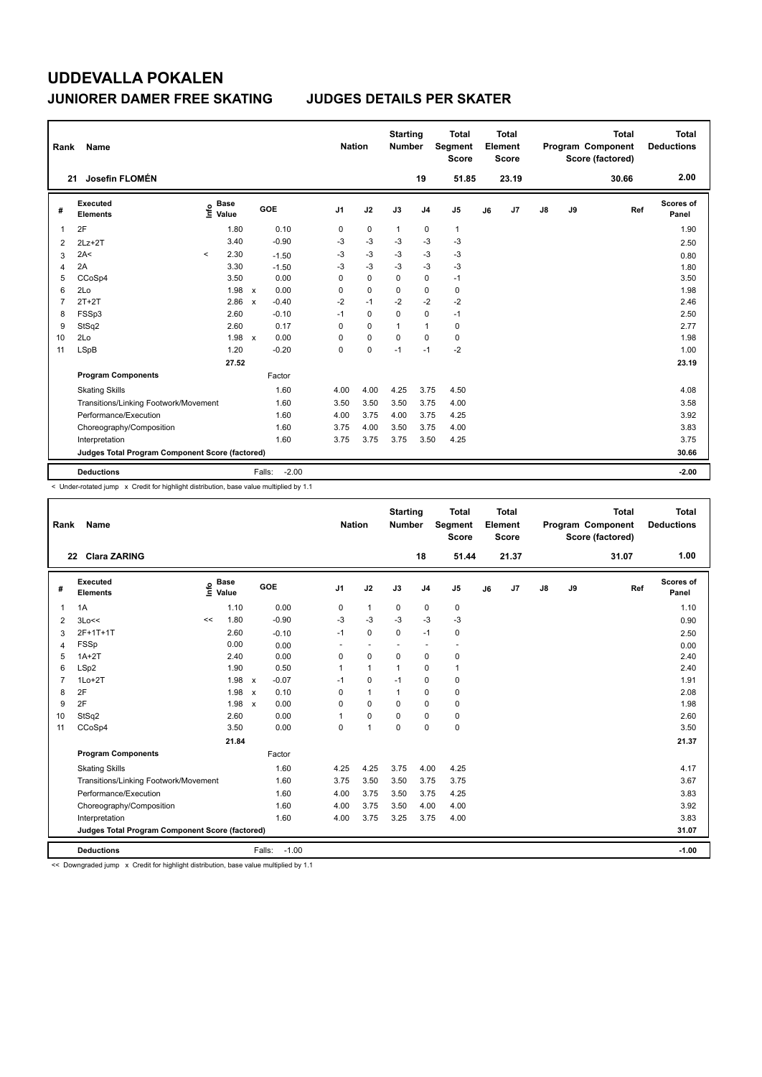| Rank           | Name                                            |                            |                                      | <b>Nation</b>  |             | <b>Starting</b><br>Number |                | <b>Total</b><br>Segment<br><b>Score</b> |    | <b>Total</b><br>Element<br><b>Score</b> |               |    | <b>Total</b><br>Program Component<br>Score (factored) | Total<br><b>Deductions</b> |
|----------------|-------------------------------------------------|----------------------------|--------------------------------------|----------------|-------------|---------------------------|----------------|-----------------------------------------|----|-----------------------------------------|---------------|----|-------------------------------------------------------|----------------------------|
| 21             | Josefin FLOMÉN                                  |                            |                                      |                |             |                           | 19             | 51.85                                   |    | 23.19                                   |               |    | 30.66                                                 | 2.00                       |
| #              | <b>Executed</b><br><b>Elements</b>              | <b>Base</b><br>۴ê<br>Value | GOE                                  | J <sub>1</sub> | J2          | J3                        | J <sub>4</sub> | J <sub>5</sub>                          | J6 | J7                                      | $\mathsf{J}8$ | J9 | Ref                                                   | Scores of<br>Panel         |
| 1              | 2F                                              | 1.80                       | 0.10                                 | 0              | 0           | $\mathbf{1}$              | 0              | $\mathbf{1}$                            |    |                                         |               |    |                                                       | 1.90                       |
| 2              | $2Lz+2T$                                        | 3.40                       | $-0.90$                              | -3             | $-3$        | -3                        | $-3$           | $-3$                                    |    |                                         |               |    |                                                       | 2.50                       |
| 3              | 2A<                                             | 2.30<br>$\prec$            | $-1.50$                              | -3             | $-3$        | $-3$                      | $-3$           | $-3$                                    |    |                                         |               |    |                                                       | 0.80                       |
| $\overline{4}$ | 2A                                              | 3.30                       | $-1.50$                              | $-3$           | $-3$        | $-3$                      | $-3$           | $-3$                                    |    |                                         |               |    |                                                       | 1.80                       |
| 5              | CCoSp4                                          | 3.50                       | 0.00                                 | $\Omega$       | $\mathbf 0$ | 0                         | $\mathbf 0$    | $-1$                                    |    |                                         |               |    |                                                       | 3.50                       |
| 6              | 2Lo                                             | 1.98                       | 0.00<br>$\mathsf{x}$                 | $\Omega$       | $\mathbf 0$ | $\Omega$                  | $\mathbf 0$    | $\mathbf 0$                             |    |                                         |               |    |                                                       | 1.98                       |
| $\overline{7}$ | $2T+2T$                                         | 2.86                       | $-0.40$<br>$\boldsymbol{\mathsf{x}}$ | $-2$           | $-1$        | $-2$                      | $-2$           | $-2$                                    |    |                                         |               |    |                                                       | 2.46                       |
| 8              | FSSp3                                           | 2.60                       | $-0.10$                              | $-1$           | $\mathbf 0$ | $\Omega$                  | $\mathbf 0$    | $-1$                                    |    |                                         |               |    |                                                       | 2.50                       |
| 9              | StSq2                                           | 2.60                       | 0.17                                 | $\Omega$       | $\Omega$    | $\mathbf{1}$              | $\mathbf{1}$   | $\pmb{0}$                               |    |                                         |               |    |                                                       | 2.77                       |
| 10             | 2Lo                                             | 1.98                       | 0.00<br>$\mathsf{x}$                 | 0              | $\mathbf 0$ | $\Omega$                  | $\mathbf 0$    | $\pmb{0}$                               |    |                                         |               |    |                                                       | 1.98                       |
| 11             | LSpB                                            | 1.20                       | $-0.20$                              | 0              | $\mathbf 0$ | $-1$                      | $-1$           | $-2$                                    |    |                                         |               |    |                                                       | 1.00                       |
|                |                                                 | 27.52                      |                                      |                |             |                           |                |                                         |    |                                         |               |    |                                                       | 23.19                      |
|                | <b>Program Components</b>                       |                            | Factor                               |                |             |                           |                |                                         |    |                                         |               |    |                                                       |                            |
|                | <b>Skating Skills</b>                           |                            | 1.60                                 | 4.00           | 4.00        | 4.25                      | 3.75           | 4.50                                    |    |                                         |               |    |                                                       | 4.08                       |
|                | Transitions/Linking Footwork/Movement           |                            | 1.60                                 | 3.50           | 3.50        | 3.50                      | 3.75           | 4.00                                    |    |                                         |               |    |                                                       | 3.58                       |
|                | Performance/Execution                           |                            | 1.60                                 | 4.00           | 3.75        | 4.00                      | 3.75           | 4.25                                    |    |                                         |               |    |                                                       | 3.92                       |
|                | Choreography/Composition                        |                            | 1.60                                 | 3.75           | 4.00        | 3.50                      | 3.75           | 4.00                                    |    |                                         |               |    |                                                       | 3.83                       |
|                | Interpretation                                  |                            | 1.60                                 | 3.75           | 3.75        | 3.75                      | 3.50           | 4.25                                    |    |                                         |               |    |                                                       | 3.75                       |
|                | Judges Total Program Component Score (factored) |                            |                                      |                |             |                           |                |                                         |    |                                         |               |    |                                                       | 30.66                      |
|                | <b>Deductions</b>                               |                            | $-2.00$<br>Falls:                    |                |             |                           |                |                                         |    |                                         |               |    |                                                       | $-2.00$                    |

< Under-rotated jump x Credit for highlight distribution, base value multiplied by 1.1

| Rank           | Name                                            |                                           |       |                                      | <b>Nation</b>            |                | <b>Starting</b><br><b>Number</b> |                | <b>Total</b><br>Segment<br><b>Score</b> |    | Total<br>Element<br><b>Score</b> |               |    | <b>Total</b><br>Program Component<br>Score (factored) | <b>Total</b><br><b>Deductions</b> |
|----------------|-------------------------------------------------|-------------------------------------------|-------|--------------------------------------|--------------------------|----------------|----------------------------------|----------------|-----------------------------------------|----|----------------------------------|---------------|----|-------------------------------------------------------|-----------------------------------|
| 22             | <b>Clara ZARING</b>                             |                                           |       |                                      |                          |                |                                  | 18             | 51.44                                   |    | 21.37                            |               |    | 31.07                                                 | 1.00                              |
| #              | Executed<br><b>Elements</b>                     | $\frac{e}{E}$ Base<br>$\frac{E}{E}$ Value | Value | GOE                                  | J <sub>1</sub>           | J2             | J3                               | J <sub>4</sub> | J <sub>5</sub>                          | J6 | J <sub>7</sub>                   | $\mathsf{J}8$ | J9 | Ref                                                   | <b>Scores of</b><br>Panel         |
| 1              | 1A                                              |                                           | 1.10  | 0.00                                 | 0                        | $\mathbf{1}$   | 0                                | 0              | 0                                       |    |                                  |               |    |                                                       | 1.10                              |
| $\overline{2}$ | 3Lo<<                                           | <<                                        | 1.80  | $-0.90$                              | -3                       | $-3$           | $-3$                             | $-3$           | $-3$                                    |    |                                  |               |    |                                                       | 0.90                              |
| 3              | 2F+1T+1T                                        |                                           | 2.60  | $-0.10$                              | $-1$                     | $\mathbf 0$    | $\mathbf 0$                      | $-1$           | 0                                       |    |                                  |               |    |                                                       | 2.50                              |
| 4              | FSSp                                            |                                           | 0.00  | 0.00                                 | $\overline{\phantom{a}}$ | $\overline{a}$ | $\overline{\phantom{a}}$         | $\overline{a}$ | $\overline{a}$                          |    |                                  |               |    |                                                       | 0.00                              |
| 5              | $1A+2T$                                         |                                           | 2.40  | 0.00                                 | $\Omega$                 | $\Omega$       | $\Omega$                         | $\Omega$       | 0                                       |    |                                  |               |    |                                                       | 2.40                              |
| 6              | LSp2                                            |                                           | 1.90  | 0.50                                 | 1                        | $\mathbf{1}$   | 1                                | $\Omega$       | 1                                       |    |                                  |               |    |                                                       | 2.40                              |
| 7              | $1$ Lo $+2$ T                                   |                                           | 1.98  | $-0.07$<br>$\boldsymbol{\mathsf{x}}$ | $-1$                     | $\mathbf 0$    | $-1$                             | 0              | 0                                       |    |                                  |               |    |                                                       | 1.91                              |
| 8              | 2F                                              |                                           | 1.98  | 0.10<br>$\mathbf{x}$                 | $\Omega$                 | $\mathbf{1}$   | 1                                | 0              | 0                                       |    |                                  |               |    |                                                       | 2.08                              |
| 9              | 2F                                              |                                           | 1.98  | 0.00<br>$\boldsymbol{\mathsf{x}}$    | $\Omega$                 | $\Omega$       | $\Omega$                         | $\Omega$       | 0                                       |    |                                  |               |    |                                                       | 1.98                              |
| 10             | StSq2                                           |                                           | 2.60  | 0.00                                 | 1                        | 0              | 0                                | 0              | 0                                       |    |                                  |               |    |                                                       | 2.60                              |
| 11             | CCoSp4                                          |                                           | 3.50  | 0.00                                 | $\mathbf 0$              | $\mathbf{1}$   | $\mathbf 0$                      | 0              | 0                                       |    |                                  |               |    |                                                       | 3.50                              |
|                |                                                 |                                           | 21.84 |                                      |                          |                |                                  |                |                                         |    |                                  |               |    |                                                       | 21.37                             |
|                | <b>Program Components</b>                       |                                           |       | Factor                               |                          |                |                                  |                |                                         |    |                                  |               |    |                                                       |                                   |
|                | <b>Skating Skills</b>                           |                                           |       | 1.60                                 | 4.25                     | 4.25           | 3.75                             | 4.00           | 4.25                                    |    |                                  |               |    |                                                       | 4.17                              |
|                | Transitions/Linking Footwork/Movement           |                                           |       | 1.60                                 | 3.75                     | 3.50           | 3.50                             | 3.75           | 3.75                                    |    |                                  |               |    |                                                       | 3.67                              |
|                | Performance/Execution                           |                                           |       | 1.60                                 | 4.00                     | 3.75           | 3.50                             | 3.75           | 4.25                                    |    |                                  |               |    |                                                       | 3.83                              |
|                | Choreography/Composition                        |                                           |       | 1.60                                 | 4.00                     | 3.75           | 3.50                             | 4.00           | 4.00                                    |    |                                  |               |    |                                                       | 3.92                              |
|                | Interpretation                                  |                                           |       | 1.60                                 | 4.00                     | 3.75           | 3.25                             | 3.75           | 4.00                                    |    |                                  |               |    |                                                       | 3.83                              |
|                | Judges Total Program Component Score (factored) |                                           |       |                                      |                          |                |                                  |                |                                         |    |                                  |               |    |                                                       | 31.07                             |
|                | <b>Deductions</b>                               |                                           |       | $-1.00$<br>Falls:                    |                          |                |                                  |                |                                         |    |                                  |               |    |                                                       | $-1.00$                           |

<< Downgraded jump x Credit for highlight distribution, base value multiplied by 1.1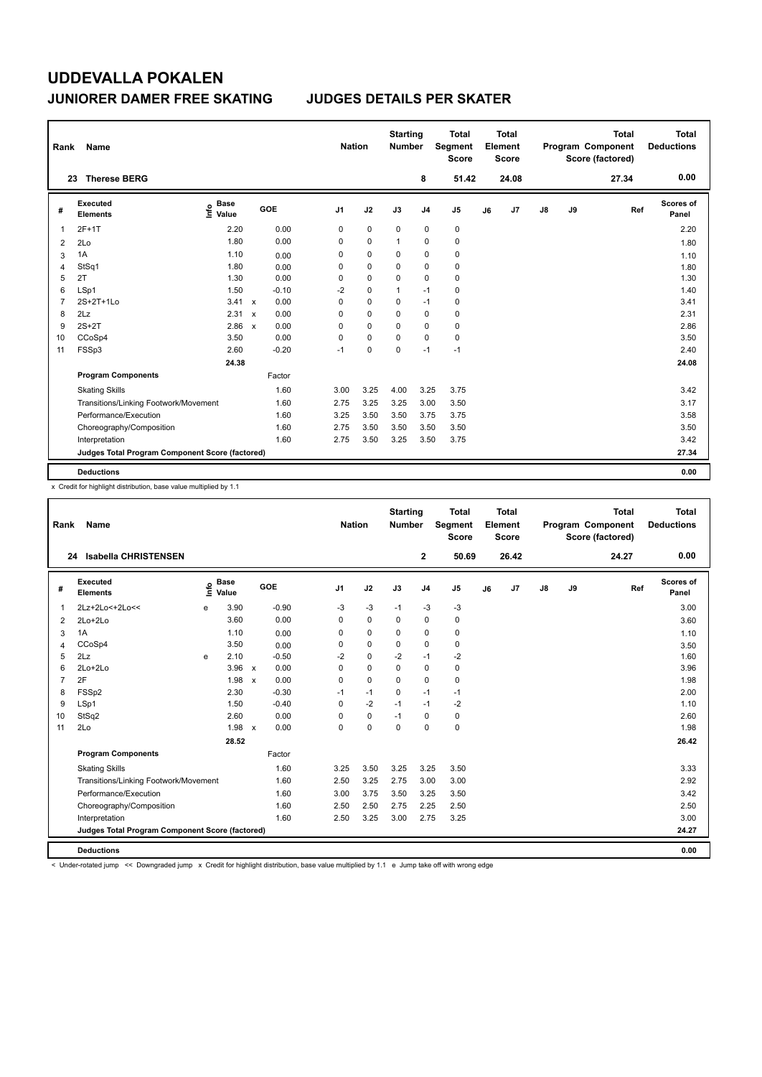| Rank           | Name                                            |                            |              |         |                | <b>Nation</b> |             | <b>Starting</b><br><b>Number</b> |                | <b>Total</b><br>Segment<br><b>Score</b> |    | <b>Total</b><br>Element<br><b>Score</b> |               |    | <b>Total</b><br>Program Component<br>Score (factored) | <b>Total</b><br><b>Deductions</b> |
|----------------|-------------------------------------------------|----------------------------|--------------|---------|----------------|---------------|-------------|----------------------------------|----------------|-----------------------------------------|----|-----------------------------------------|---------------|----|-------------------------------------------------------|-----------------------------------|
|                | <b>Therese BERG</b><br>23                       |                            |              |         |                |               |             |                                  | 8              | 51.42                                   |    | 24.08                                   |               |    | 27.34                                                 | 0.00                              |
| #              | Executed<br><b>Elements</b>                     | <b>Base</b><br>۴۵<br>Value |              | GOE     | J <sub>1</sub> |               | J2          | J3                               | J <sub>4</sub> | J <sub>5</sub>                          | J6 | J <sub>7</sub>                          | $\mathsf{J}8$ | J9 | Ref                                                   | Scores of<br>Panel                |
| 1              | $2F+1T$                                         | 2.20                       |              | 0.00    | 0              |               | $\mathbf 0$ | $\mathbf 0$                      | $\mathbf 0$    | $\pmb{0}$                               |    |                                         |               |    |                                                       | 2.20                              |
| 2              | 2Lo                                             | 1.80                       |              | 0.00    | 0              |               | $\mathbf 0$ | 1                                | 0              | $\pmb{0}$                               |    |                                         |               |    |                                                       | 1.80                              |
| 3              | 1A                                              | 1.10                       |              | 0.00    | 0              |               | $\mathbf 0$ | 0                                | $\mathbf 0$    | $\pmb{0}$                               |    |                                         |               |    |                                                       | 1.10                              |
| 4              | StSq1                                           | 1.80                       |              | 0.00    | 0              |               | $\mathbf 0$ | 0                                | $\mathbf 0$    | $\pmb{0}$                               |    |                                         |               |    |                                                       | 1.80                              |
| 5              | 2T                                              | 1.30                       |              | 0.00    | 0              |               | 0           | 0                                | 0              | 0                                       |    |                                         |               |    |                                                       | 1.30                              |
| 6              | LSp1                                            | 1.50                       |              | $-0.10$ | $-2$           |               | $\mathbf 0$ | $\mathbf{1}$                     | $-1$           | $\pmb{0}$                               |    |                                         |               |    |                                                       | 1.40                              |
| $\overline{7}$ | $2S+2T+1L0$                                     | 3.41                       | $\mathsf{x}$ | 0.00    | 0              |               | $\mathbf 0$ | 0                                | $-1$           | $\pmb{0}$                               |    |                                         |               |    |                                                       | 3.41                              |
| 8              | 2Lz                                             | 2.31                       | $\mathsf{x}$ | 0.00    | 0              |               | $\mathbf 0$ | 0                                | 0              | 0                                       |    |                                         |               |    |                                                       | 2.31                              |
| 9              | $2S+2T$                                         | 2.86                       | $\mathsf{x}$ | 0.00    | 0              |               | 0           | 0                                | 0              | 0                                       |    |                                         |               |    |                                                       | 2.86                              |
| 10             | CCoSp4                                          | 3.50                       |              | 0.00    | 0              |               | $\mathbf 0$ | 0                                | $\mathbf 0$    | $\pmb{0}$                               |    |                                         |               |    |                                                       | 3.50                              |
| 11             | FSSp3                                           | 2.60                       |              | $-0.20$ | $-1$           |               | 0           | 0                                | $-1$           | $-1$                                    |    |                                         |               |    |                                                       | 2.40                              |
|                |                                                 | 24.38                      |              |         |                |               |             |                                  |                |                                         |    |                                         |               |    |                                                       | 24.08                             |
|                | <b>Program Components</b>                       |                            |              | Factor  |                |               |             |                                  |                |                                         |    |                                         |               |    |                                                       |                                   |
|                | <b>Skating Skills</b>                           |                            |              | 1.60    | 3.00           |               | 3.25        | 4.00                             | 3.25           | 3.75                                    |    |                                         |               |    |                                                       | 3.42                              |
|                | Transitions/Linking Footwork/Movement           |                            |              | 1.60    | 2.75           |               | 3.25        | 3.25                             | 3.00           | 3.50                                    |    |                                         |               |    |                                                       | 3.17                              |
|                | Performance/Execution                           |                            |              | 1.60    | 3.25           |               | 3.50        | 3.50                             | 3.75           | 3.75                                    |    |                                         |               |    |                                                       | 3.58                              |
|                | Choreography/Composition                        |                            |              | 1.60    | 2.75           |               | 3.50        | 3.50                             | 3.50           | 3.50                                    |    |                                         |               |    |                                                       | 3.50                              |
|                | Interpretation                                  |                            |              | 1.60    | 2.75           |               | 3.50        | 3.25                             | 3.50           | 3.75                                    |    |                                         |               |    |                                                       | 3.42                              |
|                | Judges Total Program Component Score (factored) |                            |              |         |                |               |             |                                  |                |                                         |    |                                         |               |    |                                                       | 27.34                             |
|                | <b>Deductions</b>                               |                            |              |         |                |               |             |                                  |                |                                         |    |                                         |               |    |                                                       | 0.00                              |

x Credit for highlight distribution, base value multiplied by 1.1

| Rank           | Name                                            |    |                      |                           |         |                | <b>Nation</b> | <b>Starting</b><br><b>Number</b> |                | <b>Total</b><br>Segment<br><b>Score</b> |    | <b>Total</b><br>Element<br><b>Score</b> |               |    | <b>Total</b><br>Program Component<br>Score (factored) |     | <b>Total</b><br><b>Deductions</b> |
|----------------|-------------------------------------------------|----|----------------------|---------------------------|---------|----------------|---------------|----------------------------------|----------------|-----------------------------------------|----|-----------------------------------------|---------------|----|-------------------------------------------------------|-----|-----------------------------------|
|                | Isabella CHRISTENSEN<br>24                      |    |                      |                           |         |                |               |                                  | $\mathbf{2}$   | 50.69                                   |    | 26.42                                   |               |    | 24.27                                                 |     | 0.00                              |
| #              | Executed<br><b>Elements</b>                     | ۴ů | <b>Base</b><br>Value |                           | GOE     | J <sub>1</sub> | J2            | J3                               | J <sub>4</sub> | J5                                      | J6 | J7                                      | $\mathsf{J}8$ | J9 |                                                       | Ref | Scores of<br>Panel                |
| $\mathbf{1}$   | 2Lz+2Lo<+2Lo<<                                  | e  | 3.90                 |                           | $-0.90$ | $-3$           | $-3$          | $-1$                             | $-3$           | $-3$                                    |    |                                         |               |    |                                                       |     | 3.00                              |
| 2              | $2Lo+2Lo$                                       |    | 3.60                 |                           | 0.00    | 0              | $\mathbf 0$   | 0                                | 0              | 0                                       |    |                                         |               |    |                                                       |     | 3.60                              |
| 3              | 1A                                              |    | 1.10                 |                           | 0.00    | 0              | $\mathbf 0$   | $\Omega$                         | 0              | 0                                       |    |                                         |               |    |                                                       |     | 1.10                              |
| $\overline{4}$ | CCoSp4                                          |    | 3.50                 |                           | 0.00    | 0              | 0             | 0                                | 0              | 0                                       |    |                                         |               |    |                                                       |     | 3.50                              |
| 5              | 2Lz                                             | e  | 2.10                 |                           | $-0.50$ | $-2$           | $\mathbf 0$   | $-2$                             | $-1$           | $-2$                                    |    |                                         |               |    |                                                       |     | 1.60                              |
| 6              | 2Lo+2Lo                                         |    | $3.96 \times$        |                           | 0.00    | 0              | 0             | 0                                | 0              | 0                                       |    |                                         |               |    |                                                       |     | 3.96                              |
| $\overline{7}$ | 2F                                              |    | 1.98                 | $\boldsymbol{\mathsf{x}}$ | 0.00    | 0              | $\mathbf 0$   | 0                                | 0              | 0                                       |    |                                         |               |    |                                                       |     | 1.98                              |
| 8              | FSSp2                                           |    | 2.30                 |                           | $-0.30$ | $-1$           | $-1$          | 0                                | $-1$           | $-1$                                    |    |                                         |               |    |                                                       |     | 2.00                              |
| 9              | LSp1                                            |    | 1.50                 |                           | $-0.40$ | 0              | $-2$          | $-1$                             | $-1$           | $-2$                                    |    |                                         |               |    |                                                       |     | 1.10                              |
| 10             | StSq2                                           |    | 2.60                 |                           | 0.00    | 0              | $\mathbf 0$   | $-1$                             | 0              | 0                                       |    |                                         |               |    |                                                       |     | 2.60                              |
| 11             | 2Lo                                             |    | 1.98                 | $\boldsymbol{\mathsf{x}}$ | 0.00    | 0              | $\mathbf 0$   | $\mathbf 0$                      | 0              | 0                                       |    |                                         |               |    |                                                       |     | 1.98                              |
|                |                                                 |    | 28.52                |                           |         |                |               |                                  |                |                                         |    |                                         |               |    |                                                       |     | 26.42                             |
|                | <b>Program Components</b>                       |    |                      |                           | Factor  |                |               |                                  |                |                                         |    |                                         |               |    |                                                       |     |                                   |
|                | <b>Skating Skills</b>                           |    |                      |                           | 1.60    | 3.25           | 3.50          | 3.25                             | 3.25           | 3.50                                    |    |                                         |               |    |                                                       |     | 3.33                              |
|                | Transitions/Linking Footwork/Movement           |    |                      |                           | 1.60    | 2.50           | 3.25          | 2.75                             | 3.00           | 3.00                                    |    |                                         |               |    |                                                       |     | 2.92                              |
|                | Performance/Execution                           |    |                      |                           | 1.60    | 3.00           | 3.75          | 3.50                             | 3.25           | 3.50                                    |    |                                         |               |    |                                                       |     | 3.42                              |
|                | Choreography/Composition                        |    |                      |                           | 1.60    | 2.50           | 2.50          | 2.75                             | 2.25           | 2.50                                    |    |                                         |               |    |                                                       |     | 2.50                              |
|                | Interpretation                                  |    |                      |                           | 1.60    | 2.50           | 3.25          | 3.00                             | 2.75           | 3.25                                    |    |                                         |               |    |                                                       |     | 3.00                              |
|                | Judges Total Program Component Score (factored) |    |                      |                           |         |                |               |                                  |                |                                         |    |                                         |               |    |                                                       |     | 24.27                             |
|                | <b>Deductions</b>                               |    |                      |                           |         |                |               |                                  |                |                                         |    |                                         |               |    |                                                       |     | 0.00                              |

< Under-rotated jump << Downgraded jump x Credit for highlight distribution, base value multiplied by 1.1 e Jump take off with wrong edge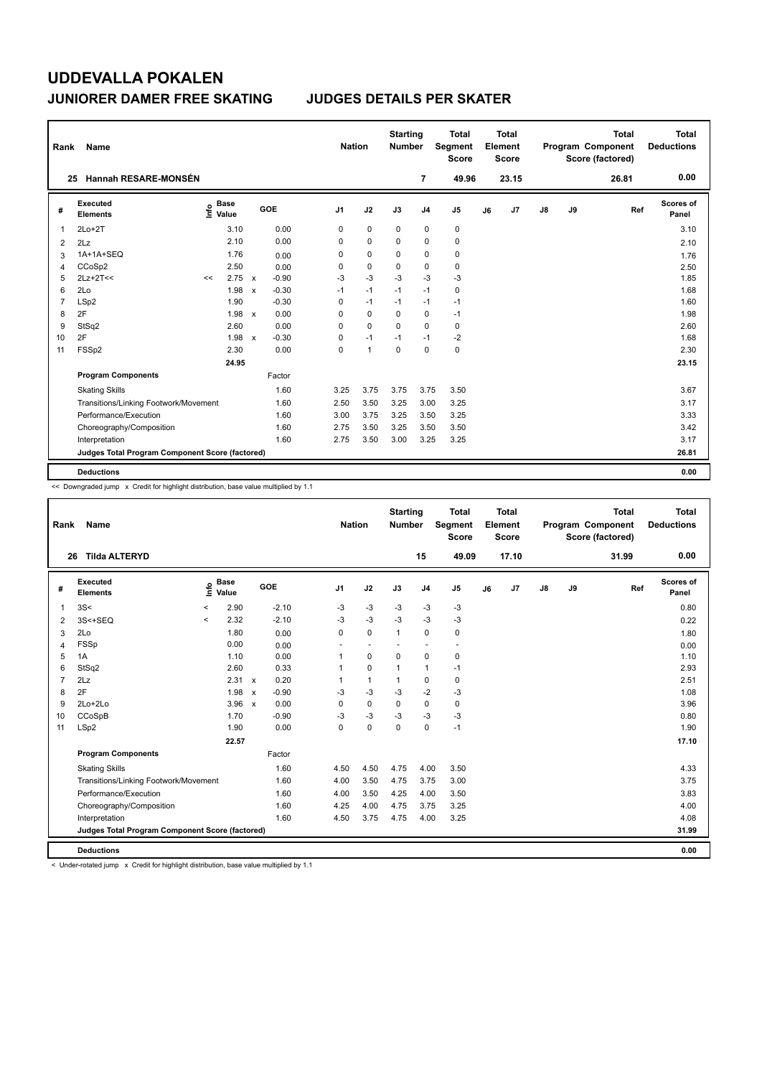| Rank           | Name                                            |      |                      |              |         | <b>Nation</b>  |              | <b>Starting</b><br><b>Number</b> |                | <b>Total</b><br>Segment<br><b>Score</b> |    | <b>Total</b><br>Element<br><b>Score</b> |               |    | <b>Total</b><br>Program Component<br>Score (factored) | Total<br><b>Deductions</b> |
|----------------|-------------------------------------------------|------|----------------------|--------------|---------|----------------|--------------|----------------------------------|----------------|-----------------------------------------|----|-----------------------------------------|---------------|----|-------------------------------------------------------|----------------------------|
|                | <b>Hannah RESARE-MONSÉN</b><br>25               |      |                      |              |         |                |              |                                  | 7              | 49.96                                   |    | 23.15                                   |               |    | 26.81                                                 | 0.00                       |
| #              | Executed<br><b>Elements</b>                     | ١nf٥ | <b>Base</b><br>Value |              | GOE     | J <sub>1</sub> | J2           | J3                               | J <sub>4</sub> | J <sub>5</sub>                          | J6 | J7                                      | $\mathsf{J}8$ | J9 | Ref                                                   | Scores of<br>Panel         |
| 1              | $2Lo+2T$                                        |      | 3.10                 |              | 0.00    | 0              | $\mathbf 0$  | $\mathbf 0$                      | 0              | $\pmb{0}$                               |    |                                         |               |    |                                                       | 3.10                       |
| $\overline{2}$ | 2Lz                                             |      | 2.10                 |              | 0.00    | 0              | $\mathbf 0$  | $\Omega$                         | 0              | 0                                       |    |                                         |               |    |                                                       | 2.10                       |
| 3              | 1A+1A+SEQ                                       |      | 1.76                 |              | 0.00    | 0              | 0            | 0                                | 0              | 0                                       |    |                                         |               |    |                                                       | 1.76                       |
| 4              | CCoSp2                                          |      | 2.50                 |              | 0.00    | 0              | $\mathbf 0$  | 0                                | 0              | 0                                       |    |                                         |               |    |                                                       | 2.50                       |
| 5              | $2Lz+2T<<$                                      | <<   | 2.75                 | $\mathbf{x}$ | $-0.90$ | -3             | $-3$         | -3                               | $-3$           | $-3$                                    |    |                                         |               |    |                                                       | 1.85                       |
| 6              | 2Lo                                             |      | 1.98                 | $\mathsf{x}$ | $-0.30$ | $-1$           | $-1$         | $-1$                             | $-1$           | 0                                       |    |                                         |               |    |                                                       | 1.68                       |
| $\overline{7}$ | LSp2                                            |      | 1.90                 |              | $-0.30$ | 0              | $-1$         | $-1$                             | $-1$           | $-1$                                    |    |                                         |               |    |                                                       | 1.60                       |
| 8              | 2F                                              |      | 1.98                 | $\mathbf{x}$ | 0.00    | 0              | $\Omega$     | $\Omega$                         | 0              | $-1$                                    |    |                                         |               |    |                                                       | 1.98                       |
| 9              | StSq2                                           |      | 2.60                 |              | 0.00    | 0              | $\Omega$     | 0                                | $\Omega$       | 0                                       |    |                                         |               |    |                                                       | 2.60                       |
| 10             | 2F                                              |      | 1.98                 | $\mathsf{x}$ | $-0.30$ | 0              | $-1$         | $-1$                             | $-1$           | -2                                      |    |                                         |               |    |                                                       | 1.68                       |
| 11             | FSSp2                                           |      | 2.30                 |              | 0.00    | 0              | $\mathbf{1}$ | 0                                | $\mathbf 0$    | $\mathbf 0$                             |    |                                         |               |    |                                                       | 2.30                       |
|                |                                                 |      | 24.95                |              |         |                |              |                                  |                |                                         |    |                                         |               |    |                                                       | 23.15                      |
|                | <b>Program Components</b>                       |      |                      |              | Factor  |                |              |                                  |                |                                         |    |                                         |               |    |                                                       |                            |
|                | <b>Skating Skills</b>                           |      |                      |              | 1.60    | 3.25           | 3.75         | 3.75                             | 3.75           | 3.50                                    |    |                                         |               |    |                                                       | 3.67                       |
|                | Transitions/Linking Footwork/Movement           |      |                      |              | 1.60    | 2.50           | 3.50         | 3.25                             | 3.00           | 3.25                                    |    |                                         |               |    |                                                       | 3.17                       |
|                | Performance/Execution                           |      |                      |              | 1.60    | 3.00           | 3.75         | 3.25                             | 3.50           | 3.25                                    |    |                                         |               |    |                                                       | 3.33                       |
|                | Choreography/Composition                        |      |                      |              | 1.60    | 2.75           | 3.50         | 3.25                             | 3.50           | 3.50                                    |    |                                         |               |    |                                                       | 3.42                       |
|                | Interpretation                                  |      |                      |              | 1.60    | 2.75           | 3.50         | 3.00                             | 3.25           | 3.25                                    |    |                                         |               |    |                                                       | 3.17                       |
|                | Judges Total Program Component Score (factored) |      |                      |              |         |                |              |                                  |                |                                         |    |                                         |               |    |                                                       | 26.81                      |
|                | <b>Deductions</b>                               |      |                      |              |         |                |              |                                  |                |                                         |    |                                         |               |    |                                                       | 0.00                       |

<< Downgraded jump x Credit for highlight distribution, base value multiplied by 1.1

| Rank           | Name                                            |          |                      |              |         | <b>Nation</b>  |              | <b>Starting</b><br><b>Number</b> |                          | <b>Total</b><br>Segment<br><b>Score</b> |    | Total<br>Element<br><b>Score</b> |    |    | <b>Total</b><br>Program Component<br>Score (factored) | Total<br><b>Deductions</b> |
|----------------|-------------------------------------------------|----------|----------------------|--------------|---------|----------------|--------------|----------------------------------|--------------------------|-----------------------------------------|----|----------------------------------|----|----|-------------------------------------------------------|----------------------------|
| 26             | <b>Tilda ALTERYD</b>                            |          |                      |              |         |                |              |                                  | 15                       | 49.09                                   |    | 17.10                            |    |    | 31.99                                                 | 0.00                       |
| #              | <b>Executed</b><br><b>Elements</b>              | info     | <b>Base</b><br>Value |              | GOE     | J <sub>1</sub> | J2           | J3                               | J <sub>4</sub>           | J5                                      | J6 | J7                               | J8 | J9 | Ref                                                   | Scores of<br>Panel         |
| 1              | 3S<                                             | $\hat{}$ | 2.90                 |              | $-2.10$ | -3             | $-3$         | $-3$                             | $-3$                     | $-3$                                    |    |                                  |    |    |                                                       | 0.80                       |
| 2              | 3S<+SEQ                                         | $\prec$  | 2.32                 |              | $-2.10$ | $-3$           | $-3$         | $-3$                             | $-3$                     | $-3$                                    |    |                                  |    |    |                                                       | 0.22                       |
| 3              | 2Lo                                             |          | 1.80                 |              | 0.00    | $\mathbf 0$    | $\mathbf 0$  | $\mathbf{1}$                     | 0                        | 0                                       |    |                                  |    |    |                                                       | 1.80                       |
| 4              | FSSp                                            |          | 0.00                 |              | 0.00    | ٠              | $\sim$       |                                  | $\overline{\phantom{a}}$ | $\overline{\phantom{a}}$                |    |                                  |    |    |                                                       | 0.00                       |
| 5              | 1A                                              |          | 1.10                 |              | 0.00    | $\overline{1}$ | $\mathbf 0$  | $\mathbf 0$                      | 0                        | 0                                       |    |                                  |    |    |                                                       | 1.10                       |
| 6              | StSq2                                           |          | 2.60                 |              | 0.33    |                | $\mathbf 0$  | $\mathbf 1$                      | $\mathbf{1}$             | $-1$                                    |    |                                  |    |    |                                                       | 2.93                       |
| $\overline{7}$ | 2Lz                                             |          | 2.31 x               |              | 0.20    |                | $\mathbf{1}$ | $\mathbf 1$                      | 0                        | 0                                       |    |                                  |    |    |                                                       | 2.51                       |
| 8              | 2F                                              |          | 1.98                 | $\mathsf{x}$ | $-0.90$ | $-3$           | $-3$         | -3                               | $-2$                     | $-3$                                    |    |                                  |    |    |                                                       | 1.08                       |
| 9              | $2Lo+2Lo$                                       |          | $3.96 \times$        |              | 0.00    | 0              | $\mathbf 0$  | 0                                | 0                        | 0                                       |    |                                  |    |    |                                                       | 3.96                       |
| 10             | CCoSpB                                          |          | 1.70                 |              | $-0.90$ | $-3$           | $-3$         | $-3$                             | $-3$                     | $-3$                                    |    |                                  |    |    |                                                       | 0.80                       |
| 11             | LSp2                                            |          | 1.90                 |              | 0.00    | 0              | $\pmb{0}$    | $\mathbf 0$                      | 0                        | $-1$                                    |    |                                  |    |    |                                                       | 1.90                       |
|                |                                                 |          | 22.57                |              |         |                |              |                                  |                          |                                         |    |                                  |    |    |                                                       | 17.10                      |
|                | <b>Program Components</b>                       |          |                      |              | Factor  |                |              |                                  |                          |                                         |    |                                  |    |    |                                                       |                            |
|                | <b>Skating Skills</b>                           |          |                      |              | 1.60    | 4.50           | 4.50         | 4.75                             | 4.00                     | 3.50                                    |    |                                  |    |    |                                                       | 4.33                       |
|                | Transitions/Linking Footwork/Movement           |          |                      |              | 1.60    | 4.00           | 3.50         | 4.75                             | 3.75                     | 3.00                                    |    |                                  |    |    |                                                       | 3.75                       |
|                | Performance/Execution                           |          |                      |              | 1.60    | 4.00           | 3.50         | 4.25                             | 4.00                     | 3.50                                    |    |                                  |    |    |                                                       | 3.83                       |
|                | Choreography/Composition                        |          |                      |              | 1.60    | 4.25           | 4.00         | 4.75                             | 3.75                     | 3.25                                    |    |                                  |    |    |                                                       | 4.00                       |
|                | Interpretation                                  |          |                      |              | 1.60    | 4.50           | 3.75         | 4.75                             | 4.00                     | 3.25                                    |    |                                  |    |    |                                                       | 4.08                       |
|                | Judges Total Program Component Score (factored) |          |                      |              |         |                |              |                                  |                          |                                         |    |                                  |    |    |                                                       | 31.99                      |
|                | <b>Deductions</b>                               |          |                      |              |         |                |              |                                  |                          |                                         |    |                                  |    |    |                                                       | 0.00                       |

< Under-rotated jump x Credit for highlight distribution, base value multiplied by 1.1